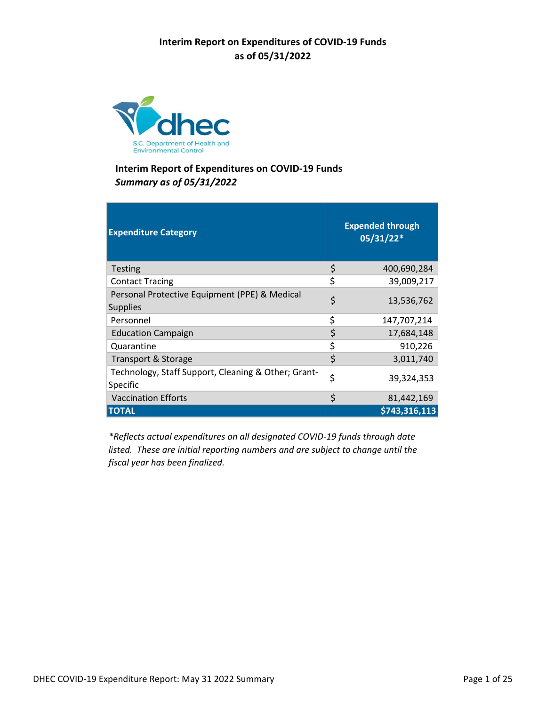

| <b>Expenditure Category</b>                                      | <b>Expended through</b><br>05/31/22* |
|------------------------------------------------------------------|--------------------------------------|
| <b>Testing</b>                                                   | \$<br>400,690,284                    |
| <b>Contact Tracing</b>                                           | \$<br>39,009,217                     |
| Personal Protective Equipment (PPE) & Medical<br><b>Supplies</b> | \$<br>13,536,762                     |
| Personnel                                                        | \$<br>147,707,214                    |
| <b>Education Campaign</b>                                        | \$<br>17,684,148                     |
| Quarantine                                                       | \$<br>910,226                        |
| Transport & Storage                                              | \$<br>3,011,740                      |
| Technology, Staff Support, Cleaning & Other; Grant-<br>Specific  | \$<br>39,324,353                     |
| <b>Vaccination Efforts</b>                                       | \$<br>81,442,169                     |
| <b>TOTAL</b>                                                     | \$743,316,113                        |

*\*Reflects actual expenditures on all designated COVID‐19 funds through date listed. These are initial reporting numbers and are subject to change until the fiscal year has been finalized.*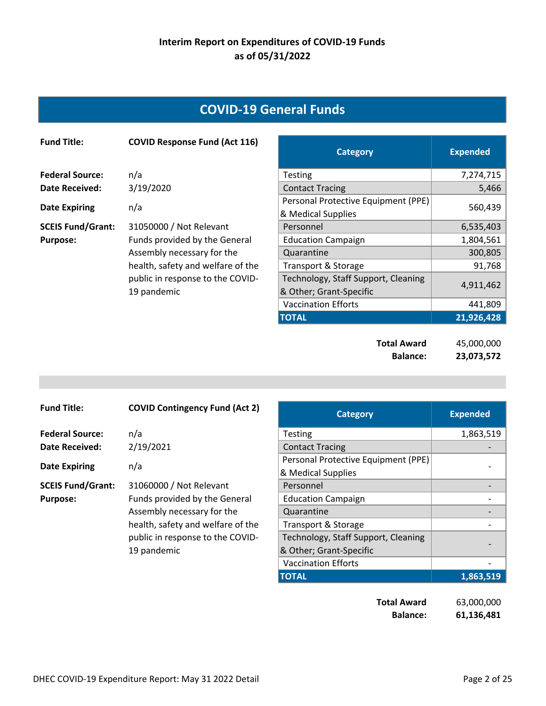## **COVID‐19 General Funds**

| <b>Fund Title:</b>       | <b>COVID Response Fund (Act 116)</b> | <b>Category</b>                                           | <b>Expended</b> |
|--------------------------|--------------------------------------|-----------------------------------------------------------|-----------------|
| <b>Federal Source:</b>   | n/a                                  | <b>Testing</b>                                            | 7,274,715       |
| Date Received:           | 3/19/2020                            | <b>Contact Tracing</b>                                    | 5,466           |
| <b>Date Expiring</b>     | n/a                                  | Personal Protective Equipment (PPE)<br>& Medical Supplies | 560,439         |
| <b>SCEIS Fund/Grant:</b> | 31050000 / Not Relevant              | Personnel                                                 | 6,535,403       |
| <b>Purpose:</b>          | Funds provided by the General        | <b>Education Campaign</b>                                 | 1,804,561       |
|                          | Assembly necessary for the           | Quarantine                                                | 300,805         |
|                          | health, safety and welfare of the    | Transport & Storage                                       | 91,768          |
|                          | public in response to the COVID-     | Technology, Staff Support, Cleaning                       | 4,911,462       |
|                          | 19 pandemic                          | & Other; Grant-Specific                                   |                 |
|                          |                                      | <b>Vaccination Efforts</b>                                | 441,809         |
|                          |                                      | <b>TOTAL</b>                                              | 21,926,428      |

**Total Award** 45,000,000 **Balance: 23,073,572** 

| <b>Fund Title:</b>       | <b>COVID Contingency Fund (Act 2)</b>           | <b>Category</b>                                                | <b>Expended</b> |
|--------------------------|-------------------------------------------------|----------------------------------------------------------------|-----------------|
| <b>Federal Source:</b>   | n/a                                             | <b>Testing</b>                                                 | 1,863,519       |
| Date Received:           | 2/19/2021                                       | <b>Contact Tracing</b>                                         |                 |
| <b>Date Expiring</b>     | n/a                                             | Personal Protective Equipment (PPE)<br>& Medical Supplies      |                 |
| <b>SCEIS Fund/Grant:</b> | 31060000 / Not Relevant                         | Personnel                                                      |                 |
| <b>Purpose:</b>          | Funds provided by the General                   | <b>Education Campaign</b>                                      |                 |
|                          | Assembly necessary for the                      | Quarantine                                                     |                 |
|                          | health, safety and welfare of the               | Transport & Storage                                            |                 |
|                          | public in response to the COVID-<br>19 pandemic | Technology, Staff Support, Cleaning<br>& Other; Grant-Specific |                 |
|                          |                                                 | <b>Vaccination Efforts</b>                                     |                 |
|                          |                                                 | <b>TOTAL</b>                                                   | 1,863,519       |

**Total Award** 63,000,000 **Balance: 61,136,481**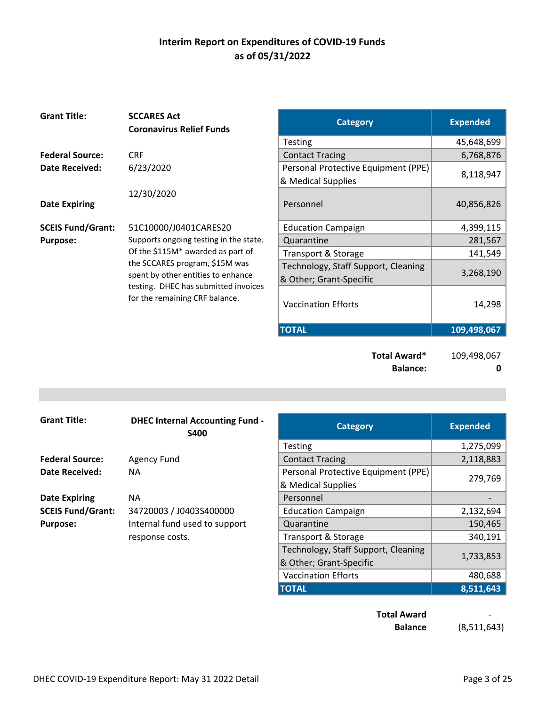| 45,648,699<br><b>Testing</b><br><b>Federal Source:</b><br><b>CRF</b><br>6,768,876<br><b>Contact Tracing</b><br>6/23/2020<br>Personal Protective Equipment (PPE)<br><b>Date Received:</b><br>8,118,947<br>& Medical Supplies<br>12/30/2020<br>Personnel<br>40,856,826<br><b>Date Expiring</b><br><b>SCEIS Fund/Grant:</b><br>4,399,115<br>51C10000/J0401CARES20<br><b>Education Campaign</b><br>Supports ongoing testing in the state.<br>281,567<br>Quarantine<br><b>Purpose:</b><br>Of the \$115M* awarded as part of<br>141,549<br>Transport & Storage<br>the SCCARES program, \$15M was<br>Technology, Staff Support, Cleaning<br>3,268,190<br>spent by other entities to enhance<br>& Other; Grant-Specific<br>testing. DHEC has submitted invoices<br>for the remaining CRF balance.<br><b>Vaccination Efforts</b><br>14,298<br><b>TOTAL</b><br>109,498,067 | <b>Grant Title:</b> | <b>SCCARES Act</b><br><b>Coronavirus Relief Funds</b> | <b>Category</b> | <b>Expended</b> |
|------------------------------------------------------------------------------------------------------------------------------------------------------------------------------------------------------------------------------------------------------------------------------------------------------------------------------------------------------------------------------------------------------------------------------------------------------------------------------------------------------------------------------------------------------------------------------------------------------------------------------------------------------------------------------------------------------------------------------------------------------------------------------------------------------------------------------------------------------------------|---------------------|-------------------------------------------------------|-----------------|-----------------|
|                                                                                                                                                                                                                                                                                                                                                                                                                                                                                                                                                                                                                                                                                                                                                                                                                                                                  |                     |                                                       |                 |                 |
|                                                                                                                                                                                                                                                                                                                                                                                                                                                                                                                                                                                                                                                                                                                                                                                                                                                                  |                     |                                                       |                 |                 |
|                                                                                                                                                                                                                                                                                                                                                                                                                                                                                                                                                                                                                                                                                                                                                                                                                                                                  |                     |                                                       |                 |                 |
|                                                                                                                                                                                                                                                                                                                                                                                                                                                                                                                                                                                                                                                                                                                                                                                                                                                                  |                     |                                                       |                 |                 |
|                                                                                                                                                                                                                                                                                                                                                                                                                                                                                                                                                                                                                                                                                                                                                                                                                                                                  |                     |                                                       |                 |                 |
|                                                                                                                                                                                                                                                                                                                                                                                                                                                                                                                                                                                                                                                                                                                                                                                                                                                                  |                     |                                                       |                 |                 |
|                                                                                                                                                                                                                                                                                                                                                                                                                                                                                                                                                                                                                                                                                                                                                                                                                                                                  |                     |                                                       |                 |                 |
|                                                                                                                                                                                                                                                                                                                                                                                                                                                                                                                                                                                                                                                                                                                                                                                                                                                                  |                     |                                                       |                 |                 |
|                                                                                                                                                                                                                                                                                                                                                                                                                                                                                                                                                                                                                                                                                                                                                                                                                                                                  |                     |                                                       |                 |                 |
|                                                                                                                                                                                                                                                                                                                                                                                                                                                                                                                                                                                                                                                                                                                                                                                                                                                                  |                     |                                                       |                 |                 |

**Total Award\*** 109,498,067 **Balance:** 0

| <b>Grant Title:</b>      | <b>DHEC Internal Accounting Fund -</b><br><b>S400</b> | <b>Category</b>                     | <b>Expended</b> |
|--------------------------|-------------------------------------------------------|-------------------------------------|-----------------|
|                          |                                                       | <b>Testing</b>                      | 1,275,099       |
| <b>Federal Source:</b>   | Agency Fund                                           | <b>Contact Tracing</b>              | 2,118,883       |
| <b>Date Received:</b>    | NA.                                                   | Personal Protective Equipment (PPE) |                 |
|                          |                                                       | & Medical Supplies                  | 279,769         |
| <b>Date Expiring</b>     | ΝA                                                    | Personnel                           |                 |
| <b>SCEIS Fund/Grant:</b> | 34720003 / J0403S400000                               | <b>Education Campaign</b>           | 2,132,694       |
| <b>Purpose:</b>          | Internal fund used to support                         | Quarantine                          | 150,465         |
|                          | response costs.                                       | Transport & Storage                 | 340,191         |
|                          |                                                       | Technology, Staff Support, Cleaning |                 |
|                          |                                                       | 8. Other: Grant-Specific            | 1,733,853       |

| <b>Accounting Fund -</b><br>S400 | <b>Category</b>                     | <b>Expended</b> |
|----------------------------------|-------------------------------------|-----------------|
|                                  | <b>Testing</b>                      | 1,275,099       |
|                                  | <b>Contact Tracing</b>              | 2,118,883       |
|                                  | Personal Protective Equipment (PPE) | 279,769         |
|                                  | & Medical Supplies                  |                 |
|                                  | Personnel                           |                 |
| 103S400000                       | <b>Education Campaign</b>           | 2,132,694       |
| sed to support                   | Quarantine                          | 150,465         |
|                                  | Transport & Storage                 | 340,191         |
|                                  | Technology, Staff Support, Cleaning |                 |
|                                  | & Other; Grant-Specific             | 1,733,853       |
|                                  | <b>Vaccination Efforts</b>          | 480,688         |
|                                  | <b>TOTAL</b>                        | 8,511,643       |

**Total Award** 

**Balance** (8,511,643)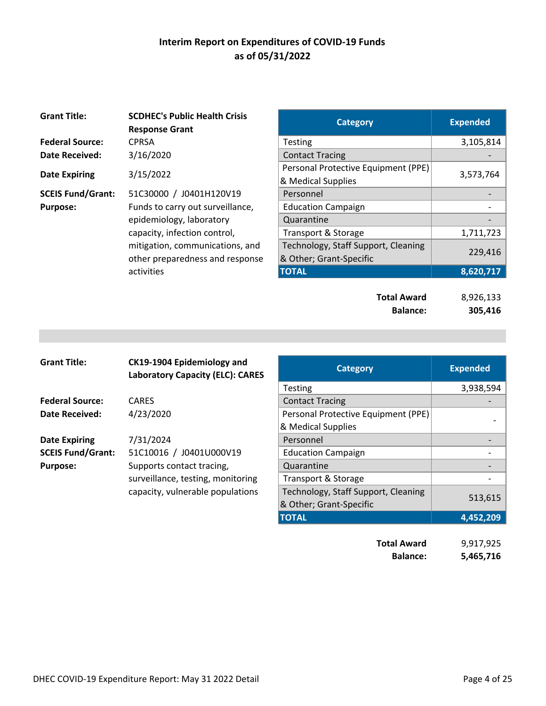| <b>Grant Title:</b>      | <b>SCDHEC's Public Health Crisis</b><br><b>Response Grant</b> | <b>Category</b>                     | <b>Expended</b> |
|--------------------------|---------------------------------------------------------------|-------------------------------------|-----------------|
| <b>Federal Source:</b>   | <b>CPRSA</b>                                                  | <b>Testing</b>                      | 3,105,814       |
| Date Received:           | 3/16/2020                                                     | <b>Contact Tracing</b>              |                 |
|                          |                                                               | Personal Protective Equipment (PPE) |                 |
| <b>Date Expiring</b>     | 3/15/2022                                                     | & Medical Supplies                  | 3,573,764       |
| <b>SCEIS Fund/Grant:</b> | 51C30000 / J0401H120V19                                       | Personnel                           |                 |
| <b>Purpose:</b>          | Funds to carry out surveillance,                              | <b>Education Campaign</b>           |                 |
|                          | epidemiology, laboratory                                      | Quarantine                          |                 |
|                          | capacity, infection control,                                  | Transport & Storage                 | 1,711,723       |
|                          | mitigation, communications, and                               | Technology, Staff Support, Cleaning |                 |
|                          | other preparedness and response                               | & Other; Grant-Specific             | 229,416         |
|                          | activities                                                    | <b>TOTAL</b>                        | 8,620,717       |

| <b>SCDHEC's Public Health Crisis</b><br><b>Response Grant</b> | <b>Category</b>                     | <b>Expended</b> |
|---------------------------------------------------------------|-------------------------------------|-----------------|
| CPRSA                                                         | <b>Testing</b>                      | 3,105,814       |
| 3/16/2020                                                     | <b>Contact Tracing</b>              |                 |
| 3/15/2022                                                     | Personal Protective Equipment (PPE) |                 |
|                                                               | & Medical Supplies                  | 3,573,764       |
| 51C30000 / J0401H120V19                                       | Personnel                           |                 |
| Funds to carry out surveillance,                              | <b>Education Campaign</b>           |                 |
| epidemiology, laboratory                                      | Quarantine                          |                 |
| capacity, infection control,                                  | Transport & Storage                 | 1,711,723       |
| mitigation, communications, and                               | Technology, Staff Support, Cleaning | 229,416         |
| other preparedness and response                               | & Other; Grant-Specific             |                 |
| activities                                                    | <b>TOTAL</b>                        | 8,620,717       |
|                                                               |                                     |                 |

| <b>Total Award</b> | 8,926,133 |
|--------------------|-----------|
| <b>Balance:</b>    | 305,416   |

| <b>Grant Title:</b>      | CK19-1904 Epidemiology and<br><b>Laboratory Capacity (ELC): CARES</b> | <b>Category</b>                     | <b>Expended</b> |
|--------------------------|-----------------------------------------------------------------------|-------------------------------------|-----------------|
|                          |                                                                       | <b>Testing</b>                      | 3,938,5         |
| <b>Federal Source:</b>   | <b>CARES</b>                                                          | <b>Contact Tracing</b>              |                 |
| <b>Date Received:</b>    | 4/23/2020                                                             | Personal Protective Equipment (PPE) |                 |
|                          |                                                                       | & Medical Supplies                  |                 |
| <b>Date Expiring</b>     | 7/31/2024                                                             | Personnel                           |                 |
| <b>SCEIS Fund/Grant:</b> | 51C10016 / J0401U000V19                                               | <b>Education Campaign</b>           |                 |
| <b>Purpose:</b>          | Supports contact tracing,                                             | Quarantine                          |                 |
|                          | surveillance, testing, monitoring                                     | Transport & Storage                 |                 |
|                          | capacity, vulnerable populations                                      | Technology, Staff Support, Cleaning |                 |
|                          |                                                                       | & Other; Grant-Specific             | 513,6           |

| CK19-1904 Epidemiology and<br><b>Laboratory Capacity (ELC): CARES</b> | <b>Category</b>                     | <b>Expended</b> |
|-----------------------------------------------------------------------|-------------------------------------|-----------------|
|                                                                       | <b>Testing</b>                      | 3,938,594       |
| CARES                                                                 | <b>Contact Tracing</b>              |                 |
| 4/23/2020                                                             | Personal Protective Equipment (PPE) |                 |
|                                                                       | & Medical Supplies                  |                 |
| 7/31/2024                                                             | Personnel                           |                 |
| 51C10016 / J0401U000V19                                               | <b>Education Campaign</b>           |                 |
| Supports contact tracing,                                             | Quarantine                          |                 |
| surveillance, testing, monitoring                                     | Transport & Storage                 |                 |
| capacity, vulnerable populations                                      | Technology, Staff Support, Cleaning |                 |
|                                                                       | & Other; Grant-Specific             | 513,615         |
|                                                                       | <b>TOTAL</b>                        | 4,452,209       |
|                                                                       |                                     |                 |
|                                                                       | <b>Total Award</b>                  | 9,917,925       |

**Balance: 5,465,716**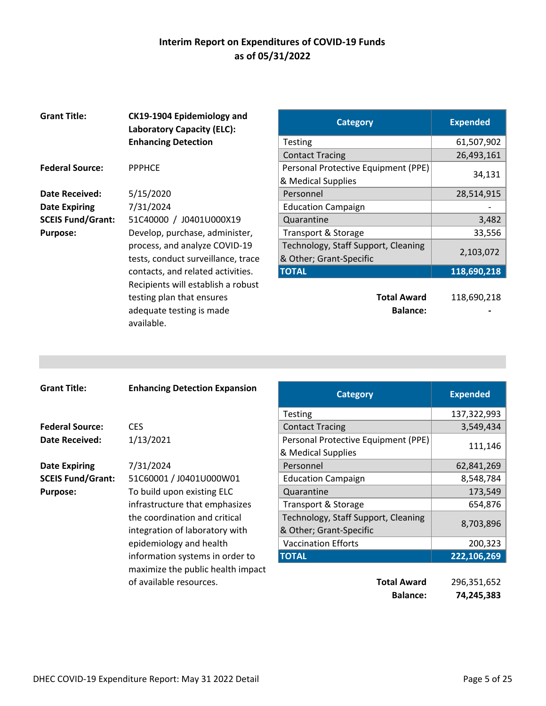| <b>Grant Title:</b>      | CK19-1904 Epidemiology and<br><b>Laboratory Capacity (ELC):</b> | <b>Category</b>                     | <b>Expended</b> |
|--------------------------|-----------------------------------------------------------------|-------------------------------------|-----------------|
|                          | <b>Enhancing Detection</b>                                      | Testing                             | 61,507,9        |
|                          |                                                                 | <b>Contact Tracing</b>              | 26,493,1        |
| <b>Federal Source:</b>   | <b>PPPHCE</b>                                                   | Personal Protective Equipment (PPE) |                 |
|                          |                                                                 | & Medical Supplies                  | 34,1            |
| <b>Date Received:</b>    | 5/15/2020                                                       | Personnel                           | 28,514,9        |
| <b>Date Expiring</b>     | 7/31/2024                                                       | <b>Education Campaign</b>           |                 |
| <b>SCEIS Fund/Grant:</b> | 51C40000 / J0401U000X19                                         | Quarantine                          | 3,4             |
| <b>Purpose:</b>          | Develop, purchase, administer,                                  | Transport & Storage                 | 33,5            |
|                          | process, and analyze COVID-19                                   | Technology, Staff Support, Cleaning |                 |
|                          | tests, conduct surveillance, trace                              | & Other; Grant-Specific             | 2,103,0         |
|                          | contacts, and related activities.                               | <b>TOTAL</b>                        | 118,690,2       |
|                          | Recipients will establish a robust                              |                                     |                 |
|                          | testing plan that ensures                                       | <b>Total Award</b>                  | 118,690,2       |
|                          | adequate testing is made                                        | <b>Balance:</b>                     |                 |
|                          | available.                                                      |                                     |                 |

| <b>Grant Title:</b>      | CK19-1904 Epidemiology and<br><b>Laboratory Capacity (ELC):</b> | <b>Category</b>                     | <b>Expended</b> |
|--------------------------|-----------------------------------------------------------------|-------------------------------------|-----------------|
|                          | <b>Enhancing Detection</b>                                      | <b>Testing</b>                      | 61,507,902      |
|                          |                                                                 | <b>Contact Tracing</b>              | 26,493,161      |
| <b>Federal Source:</b>   | <b>PPPHCE</b>                                                   | Personal Protective Equipment (PPE) |                 |
|                          |                                                                 | & Medical Supplies                  | 34,131          |
| Date Received:           | 5/15/2020                                                       | Personnel                           | 28,514,915      |
| <b>Date Expiring</b>     | 7/31/2024                                                       | <b>Education Campaign</b>           |                 |
| <b>SCEIS Fund/Grant:</b> | 51C40000 / J0401U000X19                                         | Quarantine                          | 3,482           |
| <b>Purpose:</b>          | Develop, purchase, administer,                                  | <b>Transport &amp; Storage</b>      | 33,556          |
|                          | process, and analyze COVID-19                                   | Technology, Staff Support, Cleaning | 2,103,072       |
|                          | tests, conduct surveillance, trace                              | & Other; Grant-Specific             |                 |
|                          | contacts, and related activities.                               | <b>TOTAL</b>                        | 118,690,218     |
|                          | اللقاء والمساحي والمقاط والمتلمح القادمية والمتلقات والمحامرة   |                                     |                 |

**Total Award** 118,690,218 **Balance: 1999** 

| <b>Grant Title:</b>      | <b>Enhancing Detection Expansion</b> | <b>Category</b>                     | <b>Expended</b> |
|--------------------------|--------------------------------------|-------------------------------------|-----------------|
|                          |                                      | <b>Testing</b>                      | 137,322,993     |
| <b>Federal Source:</b>   | <b>CES</b>                           | <b>Contact Tracing</b>              | 3,549,434       |
| <b>Date Received:</b>    | 1/13/2021                            | Personal Protective Equipment (PPE) |                 |
|                          |                                      | & Medical Supplies                  | 111,146         |
| <b>Date Expiring</b>     | 7/31/2024                            | Personnel                           | 62,841,269      |
| <b>SCEIS Fund/Grant:</b> | 51C60001 / J0401U000W01              | <b>Education Campaign</b>           | 8,548,784       |
| <b>Purpose:</b>          | To build upon existing ELC           | Quarantine                          | 173,549         |
|                          | infrastructure that emphasizes       | Transport & Storage                 | 654,876         |
|                          | the coordination and critical        | Technology, Staff Support, Cleaning |                 |
|                          | integration of laboratory with       | & Other; Grant-Specific             | 8,703,896       |
|                          | epidemiology and health              | <b>Vaccination Efforts</b>          | 200,323         |
|                          | information systems in order to      | <b>TOTAL</b>                        | 222,106,269     |
|                          | maximize the public health impact    |                                     |                 |
|                          | of available resources.              | <b>Total Award</b>                  | 296,351,652     |
|                          |                                      | <b>Balance:</b>                     | 74,245,383      |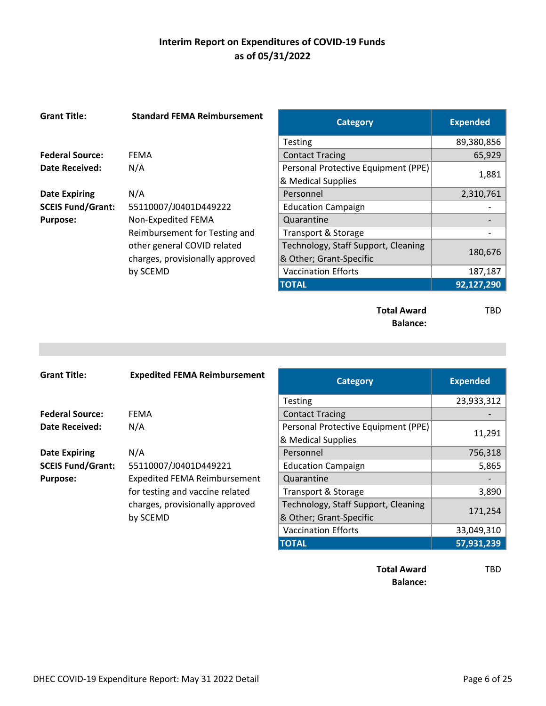| <b>Grant Title:</b>      | <b>Standard FEMA Reimbursement</b> | <b>Category</b>                     | <b>Expended</b> |
|--------------------------|------------------------------------|-------------------------------------|-----------------|
|                          |                                    | <b>Testing</b>                      | 89,380,856      |
| <b>Federal Source:</b>   | <b>FEMA</b>                        | <b>Contact Tracing</b>              | 65,929          |
| <b>Date Received:</b>    | N/A                                | Personal Protective Equipment (PPE) |                 |
|                          |                                    | & Medical Supplies                  | 1,881           |
| <b>Date Expiring</b>     | N/A                                | Personnel                           | 2,310,761       |
| <b>SCEIS Fund/Grant:</b> | 55110007/J0401D449222              | <b>Education Campaign</b>           |                 |
| <b>Purpose:</b>          | Non-Expedited FEMA                 | Quarantine                          |                 |
|                          | Reimbursement for Testing and      | Transport & Storage                 |                 |
|                          | other general COVID related        | Technology, Staff Support, Cleaning |                 |
|                          | charges, provisionally approved    | & Other; Grant-Specific             | 180,676         |
|                          | by SCEMD                           | <b>Vaccination Efforts</b>          | 187,187         |
|                          |                                    | <b>TOTAL</b>                        | 92,127,290      |
|                          |                                    |                                     |                 |
|                          |                                    | <b>Total Award</b>                  | TBD             |

**Balance:**

| <b>Grant Title:</b>      | <b>Expedited FEMA Reimbursement</b> | <b>Category</b>                     | <b>Expended</b> |
|--------------------------|-------------------------------------|-------------------------------------|-----------------|
|                          |                                     | <b>Testing</b>                      | 23,933,312      |
| <b>Federal Source:</b>   | <b>FEMA</b>                         | <b>Contact Tracing</b>              |                 |
| Date Received:           | N/A                                 | Personal Protective Equipment (PPE) |                 |
|                          |                                     | & Medical Supplies                  | 11,291          |
| <b>Date Expiring</b>     | N/A                                 | Personnel                           | 756,318         |
| <b>SCEIS Fund/Grant:</b> | 55110007/J0401D449221               | <b>Education Campaign</b>           | 5,865           |
| <b>Purpose:</b>          | <b>Expedited FEMA Reimbursement</b> | Quarantine                          |                 |
|                          | for testing and vaccine related     | Transport & Storage                 | 3,890           |
|                          | charges, provisionally approved     | Technology, Staff Support, Cleaning |                 |
|                          | by SCEMD                            | & Other; Grant-Specific             | 171,254         |
|                          |                                     | <b>Vaccination Efforts</b>          | 33,049,310      |
|                          |                                     | <b>TOTAL</b>                        | 57,931,239      |

**Total Award** TBD **Balance:**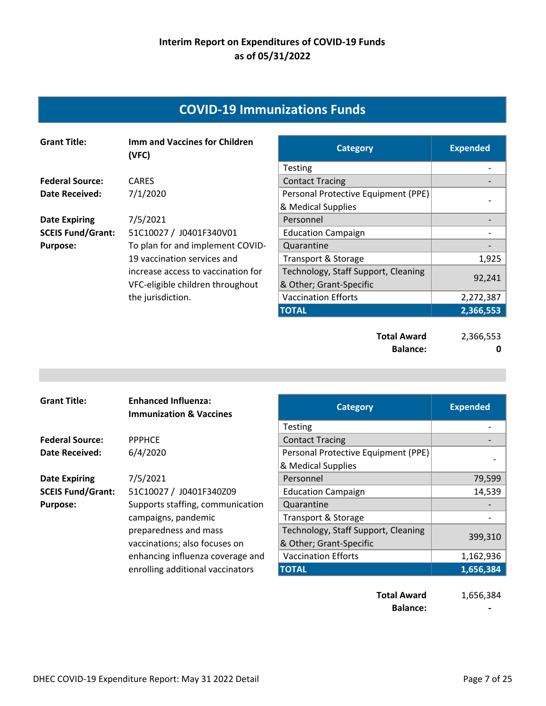## **COVID‐19 Immunizations Funds**

| <b>Grant Title:</b>      | <b>Imm and Vaccines for Children</b><br>(VFC) | <b>Category</b>                     | <b>Expended</b> |
|--------------------------|-----------------------------------------------|-------------------------------------|-----------------|
|                          |                                               | <b>Testing</b>                      |                 |
| <b>Federal Source:</b>   | <b>CARES</b>                                  | <b>Contact Tracing</b>              |                 |
| <b>Date Received:</b>    | 7/1/2020                                      | Personal Protective Equipment (PPE) |                 |
|                          |                                               | & Medical Supplies                  |                 |
| <b>Date Expiring</b>     | 7/5/2021                                      | Personnel                           |                 |
| <b>SCEIS Fund/Grant:</b> | 51C10027 / J0401F340V01                       | <b>Education Campaign</b>           |                 |
| <b>Purpose:</b>          | To plan for and implement COVID-              | Quarantine                          |                 |
|                          | 19 vaccination services and                   | Transport & Storage                 | 1,925           |
|                          | increase access to vaccination for            | Technology, Staff Support, Cleaning |                 |
|                          | VFC-eligible children throughout              | & Other; Grant-Specific             | 92,241          |
|                          | the jurisdiction.                             | <b>Vaccination Efforts</b>          | 2,272,387       |
|                          |                                               | <b>TOTAL</b>                        | 2,366,553       |
|                          |                                               |                                     |                 |

**Total Award** 2,366,553 **Balance:** 0

| <b>Grant Title:</b>      | <b>Enhanced Influenza:</b><br><b>Immunization &amp; Vaccines</b> | <b>Category</b>                     | <b>Expended</b> |
|--------------------------|------------------------------------------------------------------|-------------------------------------|-----------------|
|                          |                                                                  | <b>Testing</b>                      |                 |
| <b>Federal Source:</b>   | <b>PPPHCE</b>                                                    | <b>Contact Tracing</b>              |                 |
| Date Received:           | 6/4/2020                                                         | Personal Protective Equipment (PPE) |                 |
|                          |                                                                  | & Medical Supplies                  |                 |
| <b>Date Expiring</b>     | 7/5/2021                                                         | Personnel                           | 79,599          |
| <b>SCEIS Fund/Grant:</b> | 51C10027 / J0401F340Z09                                          | <b>Education Campaign</b>           | 14,539          |
| <b>Purpose:</b>          | Supports staffing, communication                                 | Quarantine                          |                 |
|                          | campaigns, pandemic                                              | Transport & Storage                 |                 |
|                          | preparedness and mass                                            | Technology, Staff Support, Cleaning |                 |
|                          | vaccinations; also focuses on                                    | & Other; Grant-Specific             | 399,310         |
|                          | enhancing influenza coverage and                                 | <b>Vaccination Efforts</b>          | 1,162,936       |
|                          | enrolling additional vaccinators                                 | <b>TOTAL</b>                        | 1,656,384       |
|                          |                                                                  |                                     |                 |

**Total Award** 1,656,384 **Balance: 1999**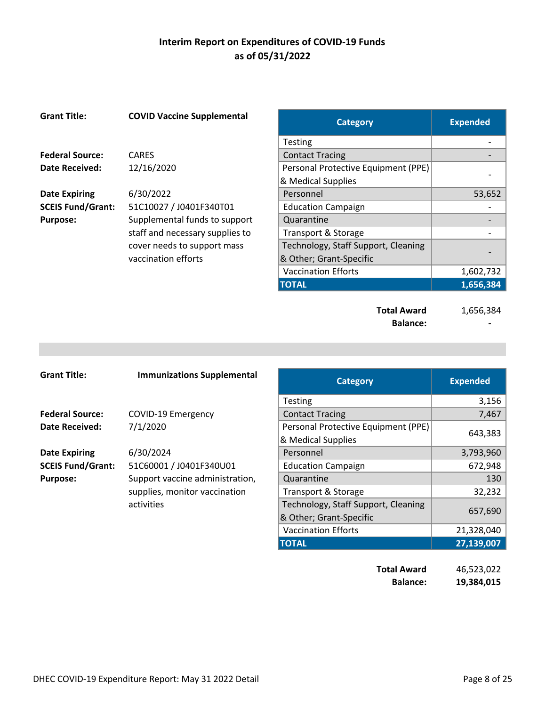| <b>Grant Title:</b>      | <b>COVID Vaccine Supplemental</b> | <b>Category</b>                     | <b>Expended</b> |
|--------------------------|-----------------------------------|-------------------------------------|-----------------|
|                          |                                   | <b>Testing</b>                      |                 |
| <b>Federal Source:</b>   | <b>CARES</b>                      | <b>Contact Tracing</b>              |                 |
| Date Received:           | 12/16/2020                        | Personal Protective Equipment (PPE) |                 |
|                          |                                   | & Medical Supplies                  |                 |
| <b>Date Expiring</b>     | 6/30/2022                         | Personnel                           | 53,652          |
| <b>SCEIS Fund/Grant:</b> | 51C10027 / J0401F340T01           | <b>Education Campaign</b>           |                 |
| <b>Purpose:</b>          | Supplemental funds to support     | Quarantine                          |                 |
|                          | staff and necessary supplies to   | Transport & Storage                 |                 |
|                          | cover needs to support mass       | Technology, Staff Support, Cleaning |                 |
|                          | vaccination efforts               | & Other; Grant-Specific             |                 |
|                          |                                   | <b>Vaccination Efforts</b>          | 1,602,732       |
|                          |                                   | <b>TOTAL</b>                        | 1,656,384       |
|                          |                                   |                                     |                 |

**Total Award** 1,656,384 **Balance: ‐** 

| <b>Grant Title:</b>      | <b>Immunizations Supplemental</b> | <b>Category</b>                                           | <b>Expended</b> |
|--------------------------|-----------------------------------|-----------------------------------------------------------|-----------------|
|                          |                                   | <b>Testing</b>                                            | 3,156           |
| <b>Federal Source:</b>   | <b>COVID-19 Emergency</b>         | <b>Contact Tracing</b>                                    | 7,467           |
| <b>Date Received:</b>    | 7/1/2020                          | Personal Protective Equipment (PPE)<br>& Medical Supplies | 643,383         |
| <b>Date Expiring</b>     | 6/30/2024                         | Personnel                                                 | 3,793,960       |
| <b>SCEIS Fund/Grant:</b> | 51C60001 / J0401F340U01           | <b>Education Campaign</b>                                 | 672,948         |
| <b>Purpose:</b>          | Support vaccine administration,   | Quarantine                                                | 130             |
|                          | supplies, monitor vaccination     | Transport & Storage                                       | 32,232          |
|                          | activities                        | Technology, Staff Support, Cleaning                       |                 |
|                          |                                   | & Other; Grant-Specific                                   | 657,690         |
|                          |                                   | <b>Vaccination Efforts</b>                                | 21,328,040      |
|                          |                                   | <b>TOTAL</b>                                              | 27,139,007      |

**Total Award** 46,523,022 **Balance: 19,384,015**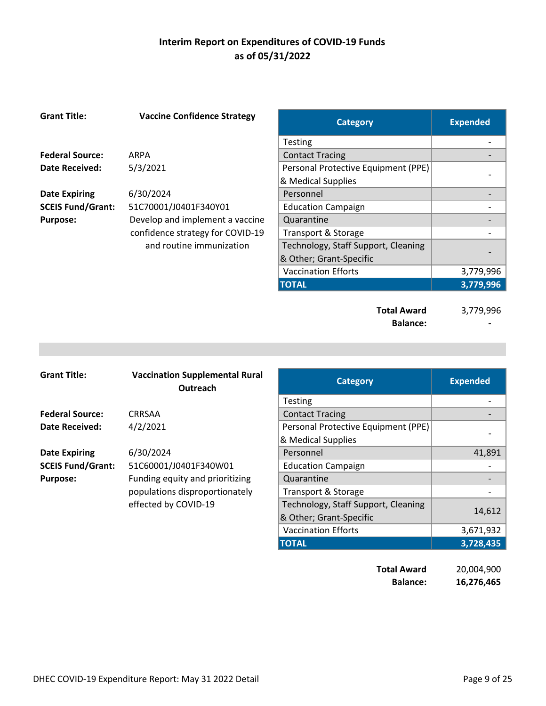| <b>Grant Title:</b>      | <b>Vaccine Confidence Strategy</b> | <b>Category</b>                     | <b>Expended</b> |
|--------------------------|------------------------------------|-------------------------------------|-----------------|
|                          |                                    | <b>Testing</b>                      |                 |
| <b>Federal Source:</b>   | ARPA                               | <b>Contact Tracing</b>              |                 |
| <b>Date Received:</b>    | 5/3/2021                           | Personal Protective Equipment (PPE) |                 |
|                          |                                    | & Medical Supplies                  |                 |
| <b>Date Expiring</b>     | 6/30/2024                          | Personnel                           |                 |
| <b>SCEIS Fund/Grant:</b> | 51C70001/J0401F340Y01              | <b>Education Campaign</b>           |                 |
| <b>Purpose:</b>          | Develop and implement a vaccine    | Quarantine                          |                 |
|                          | confidence strategy for COVID-19   | Transport & Storage                 |                 |
|                          | and routine immunization           | Technology, Staff Support, Cleaning |                 |
|                          |                                    | & Other; Grant-Specific             |                 |
|                          |                                    | <b>Vaccination Efforts</b>          | 3,779,996       |
|                          |                                    | <b>TOTAL</b>                        | 3,779,996       |
|                          |                                    |                                     |                 |
|                          |                                    | <b>Total Award</b>                  | 3,779,996       |
|                          |                                    | <b>Balance:</b>                     |                 |

| <b>Grant Title:</b>      | <b>Vaccination Supplemental Rural</b><br>Outreach | <b>Category</b>                     | <b>Expended</b> |
|--------------------------|---------------------------------------------------|-------------------------------------|-----------------|
|                          |                                                   | <b>Testing</b>                      |                 |
| <b>Federal Source:</b>   | CRRSAA                                            | <b>Contact Tracing</b>              |                 |
| Date Received:           | 4/2/2021                                          | Personal Protective Equipment (PPE) |                 |
|                          |                                                   | & Medical Supplies                  |                 |
| <b>Date Expiring</b>     | 6/30/2024                                         | Personnel                           | 41,891          |
| <b>SCEIS Fund/Grant:</b> | 51C60001/J0401F340W01                             | <b>Education Campaign</b>           |                 |
| <b>Purpose:</b>          | Funding equity and prioritizing                   | Quarantine                          |                 |
|                          | populations disproportionately                    | Transport & Storage                 |                 |
|                          | effected by COVID-19                              | Technology, Staff Support, Cleaning |                 |
|                          |                                                   | & Other; Grant-Specific             | 14,612          |
|                          |                                                   | <b>Vaccination Efforts</b>          | 3,671,932       |
|                          |                                                   | <b>TOTAL</b>                        | 3,728,435       |

| <b>Total Award</b> | 20,004,900 |
|--------------------|------------|
| <b>Balance:</b>    | 16,276,465 |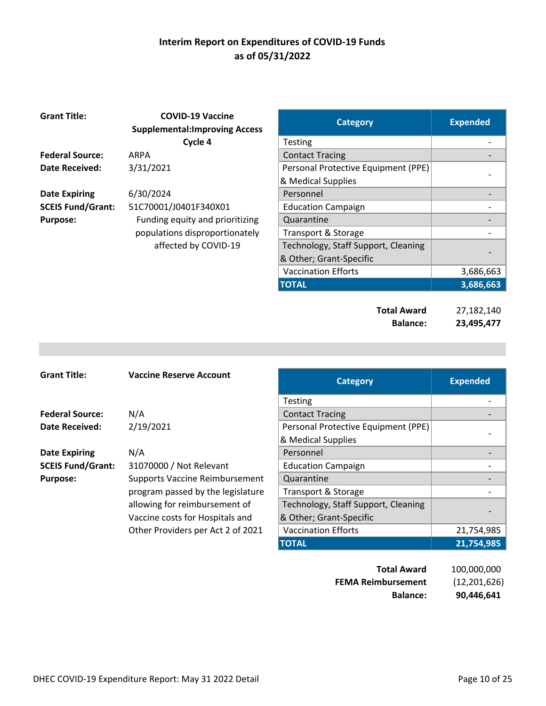| <b>Grant Title:</b>      | <b>COVID-19 Vaccine</b><br><b>Supplemental: Improving Access</b> | <b>Category</b>                     | <b>Expended</b>          |
|--------------------------|------------------------------------------------------------------|-------------------------------------|--------------------------|
|                          | Cycle 4                                                          | Testing                             |                          |
| <b>Federal Source:</b>   | <b>ARPA</b>                                                      | <b>Contact Tracing</b>              |                          |
| Date Received:           | 3/31/2021                                                        | Personal Protective Equipment (PPE) |                          |
|                          |                                                                  | & Medical Supplies                  |                          |
| <b>Date Expiring</b>     | 6/30/2024                                                        | Personnel                           |                          |
| <b>SCEIS Fund/Grant:</b> | 51C70001/J0401F340X01                                            | <b>Education Campaign</b>           |                          |
| <b>Purpose:</b>          | Funding equity and prioritizing                                  | Quarantine                          |                          |
|                          | populations disproportionately                                   | Transport & Storage                 |                          |
|                          | affected by COVID-19                                             | Technology, Staff Support, Cleaning |                          |
|                          |                                                                  | & Other; Grant-Specific             | $\overline{\phantom{0}}$ |
|                          |                                                                  |                                     |                          |

| <b>Category</b>                     | <b>Expended</b>      |
|-------------------------------------|----------------------|
| Testing                             |                      |
| <b>Contact Tracing</b>              |                      |
| Personal Protective Equipment (PPE) |                      |
| & Medical Supplies                  |                      |
| Personnel                           |                      |
| <b>Education Campaign</b>           |                      |
| Quarantine                          |                      |
| Transport & Storage                 |                      |
| Technology, Staff Support, Cleaning |                      |
| & Other; Grant-Specific             |                      |
| <b>Vaccination Efforts</b>          | 3,686,663            |
| <b>TOTAL</b>                        | 3,686,663            |
| استمرزه الملك                       | าร 4 ถา 4 <i>4</i> ก |

| <b>Total Award</b> | 27,182,140 |
|--------------------|------------|
| <b>Balance:</b>    | 23,495,477 |

| <b>Grant Title:</b>      | <b>Vaccine Reserve Account</b>        | <b>Category</b>                     | <b>Expended</b> |
|--------------------------|---------------------------------------|-------------------------------------|-----------------|
|                          |                                       | <b>Testing</b>                      |                 |
| <b>Federal Source:</b>   | N/A                                   | <b>Contact Tracing</b>              |                 |
| Date Received:           | 2/19/2021                             | Personal Protective Equipment (PPE) |                 |
|                          |                                       | & Medical Supplies                  |                 |
| <b>Date Expiring</b>     | N/A                                   | Personnel                           |                 |
| <b>SCEIS Fund/Grant:</b> | 31070000 / Not Relevant               | <b>Education Campaign</b>           |                 |
| <b>Purpose:</b>          | <b>Supports Vaccine Reimbursement</b> | Quarantine                          |                 |
|                          | program passed by the legislature     | Transport & Storage                 |                 |
|                          | allowing for reimbursement of         | Technology, Staff Support, Cleaning |                 |
|                          | Vaccine costs for Hospitals and       | & Other; Grant-Specific             |                 |
|                          | Other Providers per Act 2 of 2021     | <b>Vaccination Efforts</b>          | 21,754,985      |
|                          |                                       | <b>TOTAL</b>                        | 21,754,985      |

| <b>Balance:</b>           | 90,446,641     |
|---------------------------|----------------|
| <b>FEMA Reimbursement</b> | (12, 201, 626) |
| <b>Total Award</b>        | 100,000,000    |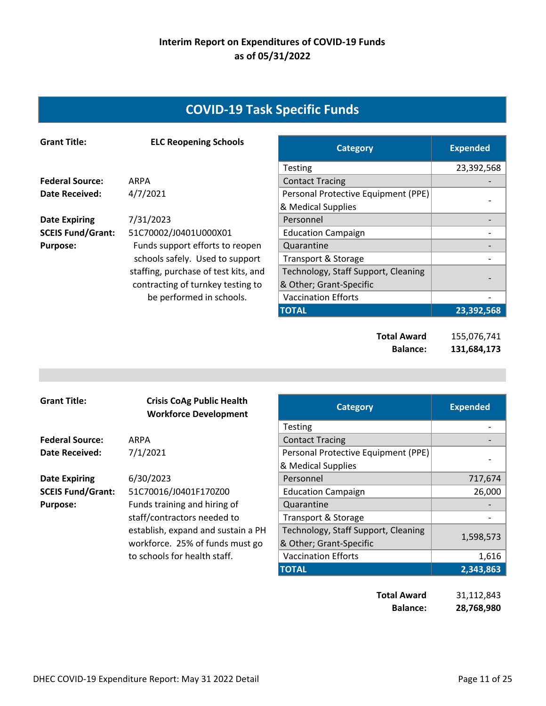# **COVID‐19 Task Specific Funds**

| <b>Grant Title:</b>      | <b>ELC Reopening Schools</b>         | <b>Category</b>                     | <b>Expended</b> |
|--------------------------|--------------------------------------|-------------------------------------|-----------------|
|                          |                                      | <b>Testing</b>                      | 23,392,568      |
| <b>Federal Source:</b>   | ARPA                                 | <b>Contact Tracing</b>              |                 |
| Date Received:           | 4/7/2021                             | Personal Protective Equipment (PPE) |                 |
|                          |                                      | & Medical Supplies                  |                 |
| <b>Date Expiring</b>     | 7/31/2023                            | Personnel                           |                 |
| <b>SCEIS Fund/Grant:</b> | 51C70002/J0401U000X01                | <b>Education Campaign</b>           |                 |
| <b>Purpose:</b>          | Funds support efforts to reopen      | Quarantine                          |                 |
|                          | schools safely. Used to support      | Transport & Storage                 |                 |
|                          | staffing, purchase of test kits, and | Technology, Staff Support, Cleaning |                 |
|                          | contracting of turnkey testing to    | & Other; Grant-Specific             |                 |
|                          | be performed in schools.             | <b>Vaccination Efforts</b>          |                 |
|                          |                                      | <b>TOTAL</b>                        | 23,392,568      |
|                          |                                      |                                     |                 |

**Total Award** 155,076,741 **Balance: 131,684,173** 

| <b>Grant Title:</b>      | <b>Crisis CoAg Public Health</b><br><b>Workforce Development</b> | <b>Category</b>                     | <b>Expended</b> |
|--------------------------|------------------------------------------------------------------|-------------------------------------|-----------------|
|                          |                                                                  | <b>Testing</b>                      |                 |
| <b>Federal Source:</b>   | ARPA                                                             | <b>Contact Tracing</b>              |                 |
| Date Received:           | 7/1/2021                                                         | Personal Protective Equipment (PPE) |                 |
|                          |                                                                  | & Medical Supplies                  |                 |
| <b>Date Expiring</b>     | 6/30/2023                                                        | Personnel                           | 717,674         |
| <b>SCEIS Fund/Grant:</b> | 51C70016/J0401F170Z00                                            | <b>Education Campaign</b>           | 26,000          |
| <b>Purpose:</b>          | Funds training and hiring of                                     | Quarantine                          |                 |
|                          | staff/contractors needed to                                      | <b>Transport &amp; Storage</b>      |                 |
|                          | establish, expand and sustain a PH                               | Technology, Staff Support, Cleaning |                 |
|                          | workforce. 25% of funds must go                                  | & Other; Grant-Specific             | 1,598,573       |
|                          | to schools for health staff.                                     | <b>Vaccination Efforts</b>          | 1,616           |
|                          |                                                                  | <b>TOTAL</b>                        | 2,343,863       |

| Total Award     | 31,112,843 |
|-----------------|------------|
| <b>Balance:</b> | 28,768,980 |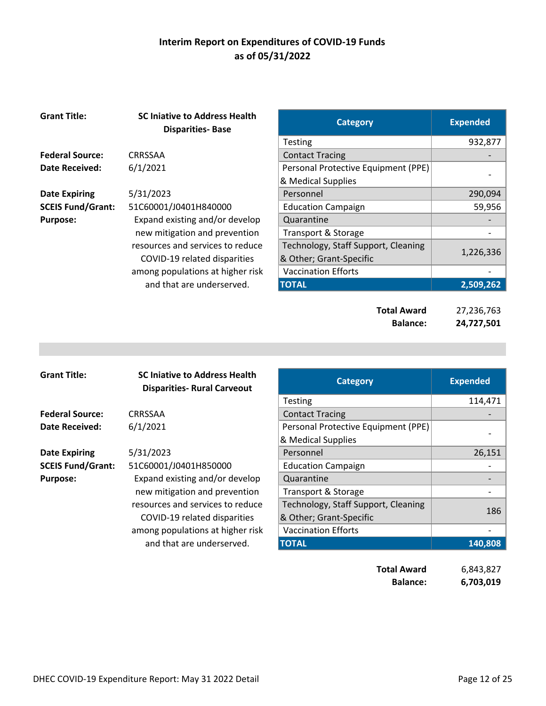| <b>Grant Title:</b>      | <b>SC Iniative to Address Health</b><br><b>Disparities-Base</b> | <b>Category</b>                       | <b>Expended</b>          |
|--------------------------|-----------------------------------------------------------------|---------------------------------------|--------------------------|
|                          |                                                                 | <b>Testing</b>                        | 932,877                  |
| <b>Federal Source:</b>   | <b>CRRSSAA</b>                                                  | <b>Contact Tracing</b>                |                          |
| <b>Date Received:</b>    | 6/1/2021                                                        | Personal Protective Equipment (PPE)   |                          |
|                          |                                                                 | & Medical Supplies                    |                          |
| <b>Date Expiring</b>     | 5/31/2023                                                       | Personnel                             | 290,094                  |
| <b>SCEIS Fund/Grant:</b> | 51C60001/J0401H840000                                           | <b>Education Campaign</b>             | 59,956                   |
| <b>Purpose:</b>          | Expand existing and/or develop                                  | Quarantine                            |                          |
|                          | new mitigation and prevention                                   | Transport & Storage                   |                          |
|                          | resources and services to reduce                                | Technology, Staff Support, Cleaning   |                          |
|                          | COVID-19 related disparities                                    | & Other; Grant-Specific               | 1,226,336                |
|                          | among populations at higher risk                                | <b>Vaccination Efforts</b>            |                          |
|                          | and that are underserved.                                       | <b>TOTAL</b>                          | 2,509,262                |
|                          |                                                                 | <b>Total Award</b><br><b>Balance:</b> | 27,236,763<br>24,727,501 |

| <b>Grant Title:</b>      | <b>SC Injative to Address Health</b><br><b>Disparities- Rural Carveout</b> | <b>Category</b>                     | <b>Expended</b> |
|--------------------------|----------------------------------------------------------------------------|-------------------------------------|-----------------|
|                          |                                                                            | <b>Testing</b>                      | 114,471         |
| <b>Federal Source:</b>   | CRRSSAA                                                                    | <b>Contact Tracing</b>              |                 |
| <b>Date Received:</b>    | 6/1/2021                                                                   | Personal Protective Equipment (PPE) |                 |
|                          |                                                                            | & Medical Supplies                  |                 |
| <b>Date Expiring</b>     | 5/31/2023                                                                  | Personnel                           | 26,151          |
| <b>SCEIS Fund/Grant:</b> | 51C60001/J0401H850000                                                      | <b>Education Campaign</b>           |                 |
| <b>Purpose:</b>          | Expand existing and/or develop                                             | Quarantine                          |                 |
|                          | new mitigation and prevention                                              | Transport & Storage                 |                 |
|                          | resources and services to reduce                                           | Technology, Staff Support, Cleaning | 186             |
|                          | COVID-19 related disparities                                               | & Other; Grant-Specific             |                 |
|                          | among populations at higher risk                                           | <b>Vaccination Efforts</b>          |                 |
|                          | and that are underserved.                                                  | <b>TOTAL</b>                        | 140,808         |
|                          |                                                                            | <b>Total Award</b>                  | 6,843,827       |

**Balance: 6,703,019**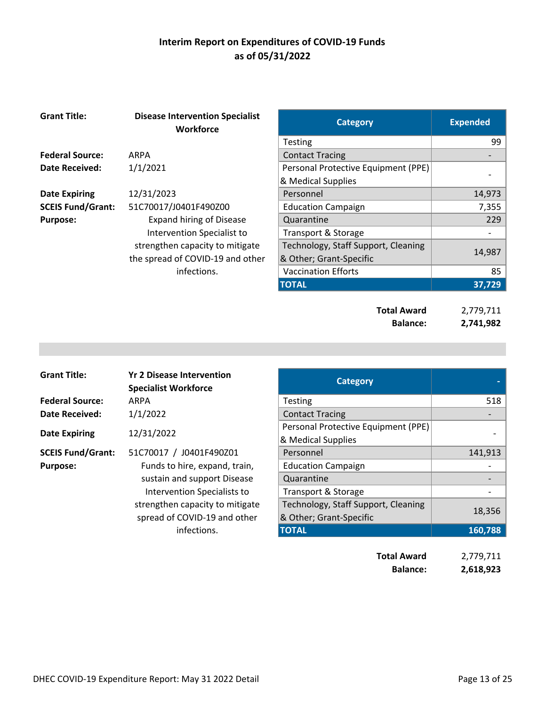| <b>Grant Title:</b>      | <b>Disease Intervention Specialist</b><br><b>Workforce</b> | <b>Category</b>                     | <b>Expended</b> |
|--------------------------|------------------------------------------------------------|-------------------------------------|-----------------|
|                          |                                                            | <b>Testing</b>                      | 99              |
| <b>Federal Source:</b>   | <b>ARPA</b>                                                | <b>Contact Tracing</b>              |                 |
| <b>Date Received:</b>    | 1/1/2021                                                   | Personal Protective Equipment (PPE) |                 |
|                          |                                                            | & Medical Supplies                  |                 |
| <b>Date Expiring</b>     | 12/31/2023                                                 | Personnel                           | 14,973          |
| <b>SCEIS Fund/Grant:</b> | 51C70017/J0401F490Z00                                      | <b>Education Campaign</b>           | 7,355           |
| <b>Purpose:</b>          | <b>Expand hiring of Disease</b>                            | Quarantine                          | 229             |
|                          | Intervention Specialist to                                 | Transport & Storage                 |                 |
|                          | strengthen capacity to mitigate                            | Technology, Staff Support, Cleaning |                 |
|                          | the spread of COVID-19 and other                           | & Other; Grant-Specific             | 14,987          |
|                          | infections.                                                | <b>Vaccination Efforts</b>          | 85              |
|                          |                                                            | <b>TOTAL</b>                        | 37,729          |
|                          |                                                            |                                     |                 |
|                          |                                                            | <b>Total Award</b>                  | 2,779,711       |
|                          |                                                            | <b>Balance:</b>                     | 2,741,982       |

| <b>Grant Title:</b>      | <b>Yr 2 Disease Intervention</b><br><b>Specialist Workforce</b> | <b>Category</b>                                                |            |
|--------------------------|-----------------------------------------------------------------|----------------------------------------------------------------|------------|
| <b>Federal Source:</b>   | ARPA                                                            | <b>Testing</b>                                                 | 518        |
| Date Received:           | 1/1/2022                                                        | <b>Contact Tracing</b>                                         |            |
| <b>Date Expiring</b>     | 12/31/2022                                                      | Personal Protective Equipment (PPE)<br>& Medical Supplies      |            |
| <b>SCEIS Fund/Grant:</b> | 51C70017 / J0401F490Z01                                         | Personnel                                                      | 141,913    |
| <b>Purpose:</b>          | Funds to hire, expand, train,                                   | <b>Education Campaign</b>                                      |            |
|                          | sustain and support Disease                                     | Quarantine                                                     |            |
|                          | Intervention Specialists to                                     | Transport & Storage                                            |            |
|                          | strengthen capacity to mitigate<br>spread of COVID-19 and other | Technology, Staff Support, Cleaning<br>& Other; Grant-Specific | 18,356     |
|                          | infections.                                                     | <b>TOTAL</b>                                                   | 160,788    |
|                          |                                                                 | Tatal Accord                                                   | n ¬¬^ ¬ィ ィ |

| Total Award     | 2,779,711 |
|-----------------|-----------|
| <b>Balance:</b> | 2,618,923 |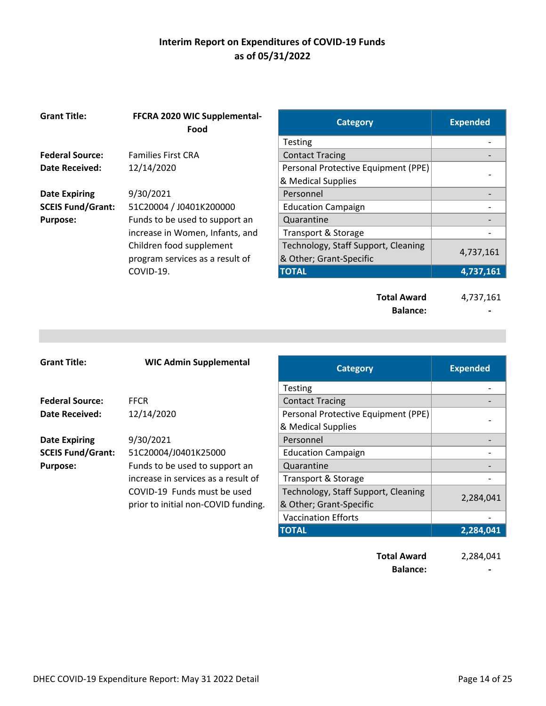| <b>Grant Title:</b>      | FFCRA 2020 WIC Supplemental-<br>Food | <b>Category</b>                     | <b>Expended</b> |
|--------------------------|--------------------------------------|-------------------------------------|-----------------|
|                          |                                      | <b>Testing</b>                      |                 |
| <b>Federal Source:</b>   | <b>Families First CRA</b>            | <b>Contact Tracing</b>              |                 |
| Date Received:           | 12/14/2020                           | Personal Protective Equipment (PPE) |                 |
|                          |                                      | & Medical Supplies                  |                 |
| <b>Date Expiring</b>     | 9/30/2021                            | Personnel                           |                 |
| <b>SCEIS Fund/Grant:</b> | 51C20004 / J0401K200000              | <b>Education Campaign</b>           |                 |
| <b>Purpose:</b>          | Funds to be used to support an       | Quarantine                          |                 |
|                          | increase in Women, Infants, and      | Transport & Storage                 |                 |
|                          | Children food supplement             | Technology, Staff Support, Cleaning |                 |
|                          | program services as a result of      | & Other; Grant-Specific             | 4,737,161       |
|                          | COVID-19.                            | <b>TOTAL</b>                        | 4,737,161       |
|                          |                                      | <b>Total Award</b>                  | 4,737,161       |

| <b>Grant Title:</b>      | <b>WIC Admin Supplemental</b>       | <b>Category</b>                     | <b>Expended</b> |
|--------------------------|-------------------------------------|-------------------------------------|-----------------|
|                          |                                     | <b>Testing</b>                      |                 |
| <b>Federal Source:</b>   | <b>FFCR</b>                         | <b>Contact Tracing</b>              |                 |
| Date Received:           | 12/14/2020                          | Personal Protective Equipment (PPE) |                 |
|                          |                                     | & Medical Supplies                  |                 |
| <b>Date Expiring</b>     | 9/30/2021                           | Personnel                           |                 |
| <b>SCEIS Fund/Grant:</b> | 51C20004/J0401K25000                | <b>Education Campaign</b>           |                 |
| <b>Purpose:</b>          | Funds to be used to support an      | Quarantine                          |                 |
|                          | increase in services as a result of | Transport & Storage                 |                 |
|                          | COVID-19 Funds must be used         | Technology, Staff Support, Cleaning |                 |
|                          | prior to initial non-COVID funding. | & Other; Grant-Specific             | 2,284,041       |
|                          |                                     | <b>Vaccination Efforts</b>          |                 |
|                          |                                     | <b>TOTAL</b>                        | 2,284,041       |

**Total Award** 2,284,041 **Balance: 1999** 

Balance: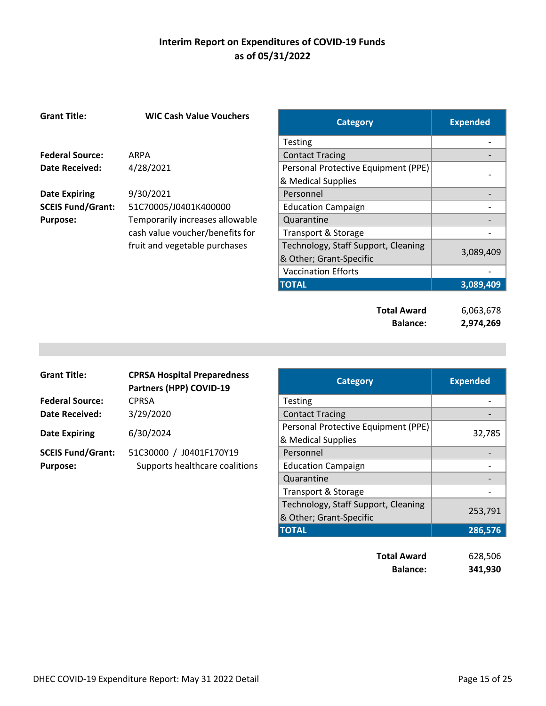| <b>Grant Title:</b>      | <b>WIC Cash Value Vouchers</b>  | <b>Category</b>                     | <b>Expended</b> |
|--------------------------|---------------------------------|-------------------------------------|-----------------|
|                          |                                 | <b>Testing</b>                      |                 |
| <b>Federal Source:</b>   | ARPA                            | <b>Contact Tracing</b>              |                 |
| <b>Date Received:</b>    | 4/28/2021                       | Personal Protective Equipment (PPE) |                 |
|                          |                                 | & Medical Supplies                  |                 |
| <b>Date Expiring</b>     | 9/30/2021                       | Personnel                           |                 |
| <b>SCEIS Fund/Grant:</b> | 51C70005/J0401K400000           | <b>Education Campaign</b>           |                 |
| <b>Purpose:</b>          | Temporarily increases allowable | Quarantine                          |                 |
|                          | cash value voucher/benefits for | <b>Transport &amp; Storage</b>      |                 |
|                          | fruit and vegetable purchases   | Technology, Staff Support, Cleaning |                 |
|                          |                                 | & Other; Grant-Specific             | 3,089,409       |
|                          |                                 | <b>Vaccination Efforts</b>          |                 |
|                          |                                 | <b>TOTAL</b>                        | 3,089,409       |
|                          |                                 |                                     |                 |
|                          |                                 | <b>Total Award</b>                  | 6,063,678       |
|                          |                                 | <b>Balance:</b>                     | 2,974,269       |

| <b>Grant Title:</b>      | <b>CPRSA Hospital Preparedness</b><br>Partners (HPP) COVID-19 | <b>Category</b>                                           | <b>Expended</b> |
|--------------------------|---------------------------------------------------------------|-----------------------------------------------------------|-----------------|
| <b>Federal Source:</b>   | <b>CPRSA</b>                                                  | <b>Testing</b>                                            |                 |
| <b>Date Received:</b>    | 3/29/2020                                                     | <b>Contact Tracing</b>                                    |                 |
| <b>Date Expiring</b>     | 6/30/2024                                                     | Personal Protective Equipment (PPE)<br>& Medical Supplies | 32,785          |
| <b>SCEIS Fund/Grant:</b> | J0401F170Y19<br>51C30000 /                                    | Personnel                                                 |                 |
| <b>Purpose:</b>          | Supports healthcare coalitions                                | <b>Education Campaign</b>                                 |                 |
|                          |                                                               | Quarantine                                                |                 |
|                          |                                                               | Transport & Storage                                       |                 |
|                          |                                                               | Technology, Staff Support, Cleaning                       |                 |
|                          |                                                               | & Other; Grant-Specific                                   | 253,791         |

| <b>Total Award</b> | 628,506 |
|--------------------|---------|
| <b>Balance:</b>    | 341,930 |

**TOTAL 286,576**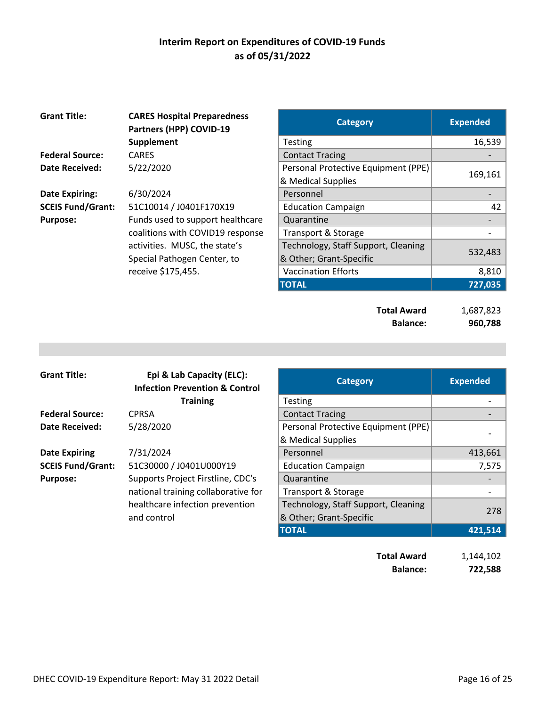| <b>Grant Title:</b>      | <b>CARES Hospital Preparedness</b><br>Partners (HPP) COVID-19 | <b>Category</b>                     | <b>Expended</b> |
|--------------------------|---------------------------------------------------------------|-------------------------------------|-----------------|
|                          | Supplement                                                    | <b>Testing</b>                      | 16,539          |
| <b>Federal Source:</b>   | <b>CARES</b>                                                  | <b>Contact Tracing</b>              |                 |
| <b>Date Received:</b>    | 5/22/2020                                                     | Personal Protective Equipment (PPE) |                 |
|                          |                                                               | & Medical Supplies                  | 169,161         |
| <b>Date Expiring:</b>    | 6/30/2024                                                     | Personnel                           |                 |
| <b>SCEIS Fund/Grant:</b> | 51C10014 / J0401F170X19                                       | <b>Education Campaign</b>           | 42              |
| <b>Purpose:</b>          | Funds used to support healthcare                              | Quarantine                          |                 |
|                          | coalitions with COVID19 response                              | Transport & Storage                 |                 |
|                          | activities. MUSC, the state's                                 | Technology, Staff Support, Cleaning |                 |
|                          | Special Pathogen Center, to                                   | & Other; Grant-Specific             | 532,483         |
|                          | receive \$175,455.                                            | <b>Vaccination Efforts</b>          | 8,810           |
|                          |                                                               | <b>TOTAL</b>                        | 727,035         |
|                          |                                                               |                                     |                 |
|                          |                                                               | <b>Total Award</b>                  | 1,687,823       |
|                          |                                                               | <b>Balance:</b>                     | 960,788         |

| <b>Grant Title:</b>      | Epi & Lab Capacity (ELC):<br><b>Infection Prevention &amp; Control</b> | <b>Category</b>                     | <b>Expended</b> |
|--------------------------|------------------------------------------------------------------------|-------------------------------------|-----------------|
|                          | <b>Training</b>                                                        | <b>Testing</b>                      |                 |
| <b>Federal Source:</b>   | <b>CPRSA</b>                                                           | <b>Contact Tracing</b>              |                 |
| <b>Date Received:</b>    | 5/28/2020                                                              | Personal Protective Equipment (PPE) |                 |
|                          |                                                                        | & Medical Supplies                  |                 |
| <b>Date Expiring</b>     | 7/31/2024                                                              | Personnel                           | 413,661         |
| <b>SCEIS Fund/Grant:</b> | 51C30000 / J0401U000Y19                                                | <b>Education Campaign</b>           | 7,575           |
| <b>Purpose:</b>          | Supports Project Firstline, CDC's                                      | Quarantine                          |                 |
|                          | national training collaborative for                                    | Transport & Storage                 |                 |
|                          | healthcare infection prevention                                        | Technology, Staff Support, Cleaning |                 |
|                          | and control                                                            | & Other; Grant-Specific             | 278             |
|                          |                                                                        | <b>TOTAL</b>                        | 421,514         |
|                          |                                                                        |                                     |                 |

**Total Award** 1,144,102 **Balance: 722,588**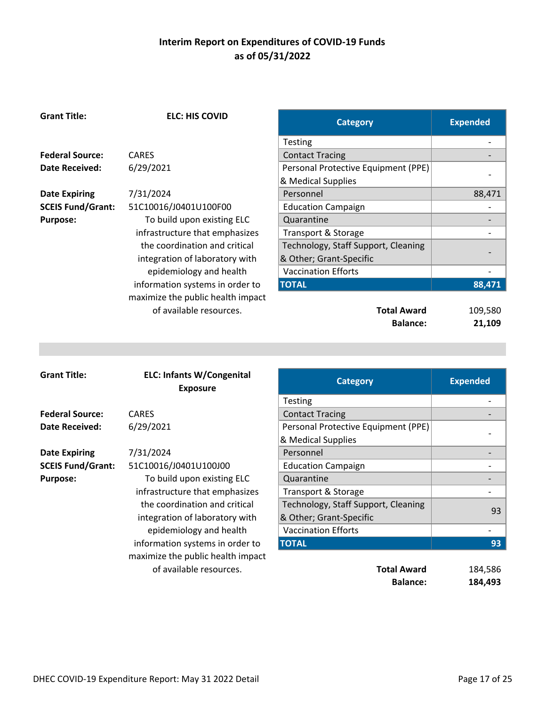**ELC: HIS COVID Category Category Expended** 

|                          |                                                                 | Testing                                               |                          |
|--------------------------|-----------------------------------------------------------------|-------------------------------------------------------|--------------------------|
| <b>Federal Source:</b>   | <b>CARES</b>                                                    | <b>Contact Tracing</b>                                |                          |
| <b>Date Received:</b>    | 6/29/2021                                                       | Personal Protective Equipment (PPE)                   |                          |
|                          |                                                                 | & Medical Supplies                                    |                          |
| <b>Date Expiring</b>     | 7/31/2024                                                       | Personnel                                             | 88,471                   |
| <b>SCEIS Fund/Grant:</b> | 51C10016/J0401U100F00                                           | <b>Education Campaign</b>                             |                          |
| <b>Purpose:</b>          | To build upon existing ELC                                      | Quarantine                                            |                          |
|                          | infrastructure that emphasizes                                  | <b>Transport &amp; Storage</b>                        |                          |
|                          | the coordination and critical                                   | Technology, Staff Support, Cleaning                   |                          |
|                          | integration of laboratory with                                  | & Other; Grant-Specific                               |                          |
|                          | epidemiology and health                                         | <b>Vaccination Efforts</b>                            |                          |
|                          | information systems in order to                                 | <b>TOTAL</b>                                          | 88,471                   |
|                          | maximize the public health impact                               |                                                       |                          |
|                          | of available resources.                                         | <b>Total Award</b>                                    | 109,580                  |
|                          |                                                                 | <b>Balance:</b>                                       | 21,109                   |
|                          |                                                                 |                                                       |                          |
|                          |                                                                 |                                                       |                          |
|                          |                                                                 |                                                       |                          |
|                          |                                                                 |                                                       |                          |
| <b>Grant Title:</b>      |                                                                 |                                                       |                          |
|                          | <b>ELC: Infants W/Congenital</b>                                | <b>Category</b>                                       | <b>Expended</b>          |
|                          | <b>Exposure</b>                                                 |                                                       | $\overline{\phantom{0}}$ |
| <b>Federal Source:</b>   | <b>CARES</b>                                                    | Testing                                               |                          |
| <b>Date Received:</b>    |                                                                 | <b>Contact Tracing</b>                                |                          |
|                          | 6/29/2021                                                       | Personal Protective Equipment (PPE)                   |                          |
|                          |                                                                 | & Medical Supplies<br>Personnel                       |                          |
| <b>Date Expiring</b>     | 7/31/2024                                                       |                                                       | $\overline{a}$           |
| <b>SCEIS Fund/Grant:</b> | 51C10016/J0401U100J00                                           | <b>Education Campaign</b>                             |                          |
| <b>Purpose:</b>          | To build upon existing ELC                                      | Quarantine                                            |                          |
|                          | infrastructure that emphasizes<br>the coordination and critical | Transport & Storage                                   |                          |
|                          |                                                                 | Technology, Staff Support, Cleaning                   | 93                       |
|                          | integration of laboratory with                                  | & Other; Grant-Specific<br><b>Vaccination Efforts</b> |                          |
|                          | epidemiology and health                                         |                                                       | 93                       |
|                          | information systems in order to                                 | <b>TOTAL</b>                                          |                          |
|                          | maximize the public health impact<br>of available resources.    | <b>Total Award</b>                                    | 184,586                  |

**Grant Title:**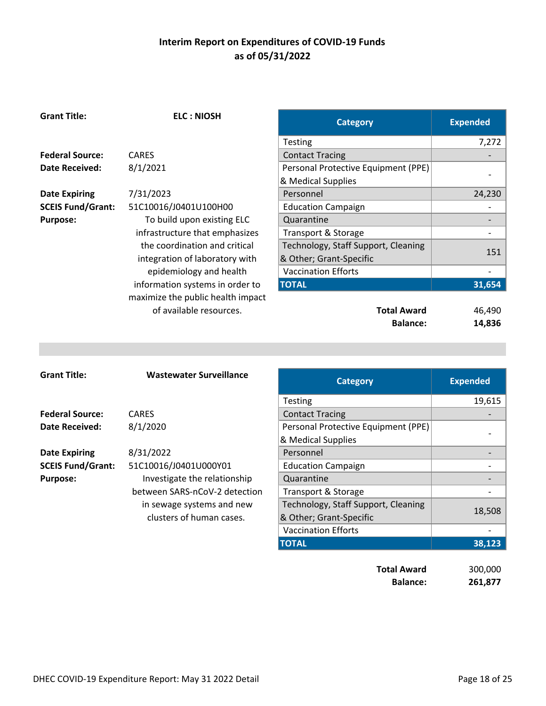| <b>Grant Title:</b>      | <b>ELC: NIOSH</b>                 | <b>Category</b>                     | <b>Expended</b> |
|--------------------------|-----------------------------------|-------------------------------------|-----------------|
|                          |                                   | <b>Testing</b>                      | 7,272           |
| <b>Federal Source:</b>   | <b>CARES</b>                      | <b>Contact Tracing</b>              |                 |
| Date Received:           | 8/1/2021                          | Personal Protective Equipment (PPE) |                 |
|                          |                                   | & Medical Supplies                  |                 |
| <b>Date Expiring</b>     | 7/31/2023                         | Personnel                           | 24,230          |
| <b>SCEIS Fund/Grant:</b> | 51C10016/J0401U100H00             | <b>Education Campaign</b>           |                 |
| <b>Purpose:</b>          | To build upon existing ELC        | Quarantine                          |                 |
|                          | infrastructure that emphasizes    | Transport & Storage                 |                 |
|                          | the coordination and critical     | Technology, Staff Support, Cleaning |                 |
|                          | integration of laboratory with    | & Other; Grant-Specific             | 151             |
|                          | epidemiology and health           | <b>Vaccination Efforts</b>          |                 |
|                          | information systems in order to   | <b>TOTAL</b>                        | 31,654          |
|                          | maximize the public health impact |                                     |                 |
|                          | of available resources.           | <b>Total Award</b>                  | 46,490          |
|                          |                                   | <b>Balance:</b>                     | 14,836          |
|                          |                                   |                                     |                 |
|                          |                                   |                                     |                 |
|                          |                                   |                                     |                 |
| <b>Grant Title:</b>      | <b>Wastewater Surveillance</b>    | <b>Category</b>                     | <b>Expended</b> |
|                          |                                   | Testing                             | 19615           |

| <b>Grant Title:</b>      | <b>Wastewater Surveillance</b> | <b>Category</b>                     | <b>Expended</b> |
|--------------------------|--------------------------------|-------------------------------------|-----------------|
|                          |                                | <b>Testing</b>                      | 19,615          |
| <b>Federal Source:</b>   | <b>CARES</b>                   | <b>Contact Tracing</b>              |                 |
| <b>Date Received:</b>    | 8/1/2020                       | Personal Protective Equipment (PPE) |                 |
|                          |                                | & Medical Supplies                  |                 |
| <b>Date Expiring</b>     | 8/31/2022                      | Personnel                           |                 |
| <b>SCEIS Fund/Grant:</b> | 51C10016/J0401U000Y01          | <b>Education Campaign</b>           |                 |
| <b>Purpose:</b>          | Investigate the relationship   | Quarantine                          |                 |
|                          | between SARS-nCoV-2 detection  | <b>Transport &amp; Storage</b>      |                 |
|                          | in sewage systems and new      | Technology, Staff Support, Cleaning |                 |
|                          | clusters of human cases.       | & Other; Grant-Specific             | 18,508          |
|                          |                                | <b>Vaccination Efforts</b>          |                 |
|                          |                                | <b>TOTAL</b>                        | 38,123          |
|                          |                                |                                     |                 |
|                          |                                | <b>Total Award</b>                  | 300,000         |

**Balance: 261,877**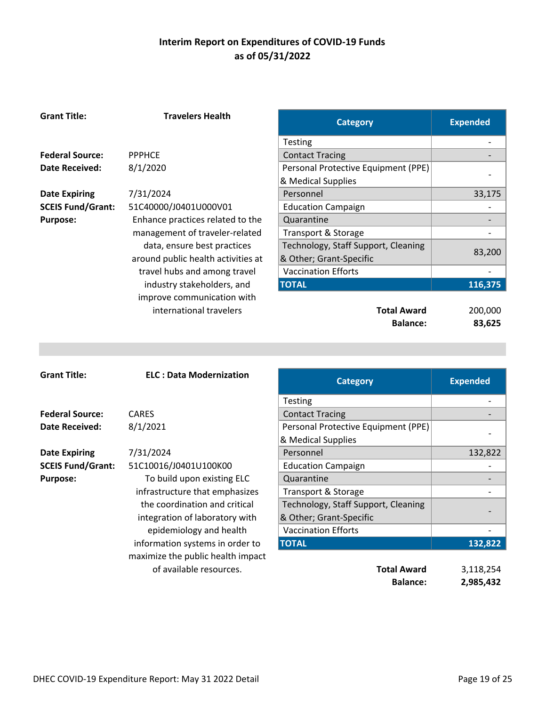| <b>Grant Title:</b>      | <b>Travelers Health</b>            | <b>Category</b>                     | <b>Expended</b>              |
|--------------------------|------------------------------------|-------------------------------------|------------------------------|
|                          |                                    | Testing                             |                              |
| <b>Federal Source:</b>   | <b>PPPHCE</b>                      | <b>Contact Tracing</b>              | -                            |
| <b>Date Received:</b>    | 8/1/2020                           | Personal Protective Equipment (PPE) |                              |
|                          |                                    | & Medical Supplies                  |                              |
| <b>Date Expiring</b>     | 7/31/2024                          | Personnel                           | 33,175                       |
| <b>SCEIS Fund/Grant:</b> | 51C40000/J0401U000V01              | <b>Education Campaign</b>           |                              |
| <b>Purpose:</b>          | Enhance practices related to the   | Quarantine                          | -                            |
|                          | management of traveler-related     | Transport & Storage                 |                              |
|                          | data, ensure best practices        | Technology, Staff Support, Cleaning |                              |
|                          | around public health activities at | & Other; Grant-Specific             | 83,200                       |
|                          | travel hubs and among travel       | <b>Vaccination Efforts</b>          |                              |
|                          | industry stakeholders, and         | <b>TOTAL</b>                        | 116,375                      |
|                          | improve communication with         |                                     |                              |
|                          | international travelers            | <b>Total Award</b>                  | 200,000                      |
|                          |                                    | <b>Balance:</b>                     | 83,625                       |
|                          |                                    |                                     |                              |
|                          |                                    |                                     |                              |
|                          |                                    |                                     |                              |
| <b>Grant Title:</b>      | <b>ELC: Data Modernization</b>     | <b>Category</b>                     | <b>Expended</b>              |
|                          |                                    |                                     | $\overline{\phantom{a}}$     |
| <b>Federal Source:</b>   | <b>CARES</b>                       | Testing                             |                              |
| <b>Date Received:</b>    |                                    | <b>Contact Tracing</b>              |                              |
|                          | 8/1/2021                           | Personal Protective Equipment (PPE) |                              |
| <b>Date Expiring</b>     | 7/31/2024                          | & Medical Supplies<br>Personnel     | 132,822                      |
| <b>SCEIS Fund/Grant:</b> | 51C10016/J0401U100K00              | <b>Education Campaign</b>           | $\qquad \qquad \blacksquare$ |
| <b>Purpose:</b>          | To build upon existing ELC         | Quarantine                          |                              |
|                          | infrastructure that emphasizes     | Transport & Storage                 |                              |
|                          | the coordination and critical      | Technology, Staff Support, Cleaning |                              |
|                          | integration of laboratory with     | & Other; Grant-Specific             |                              |
|                          | epidemiology and health            | <b>Vaccination Efforts</b>          | $\qquad \qquad \blacksquare$ |
|                          | information systems in order to    | <b>TOTAL</b>                        | 132,822                      |
|                          | maximize the public health impact  |                                     |                              |
|                          | of available resources.            | <b>Total Award</b>                  | 3,118,254                    |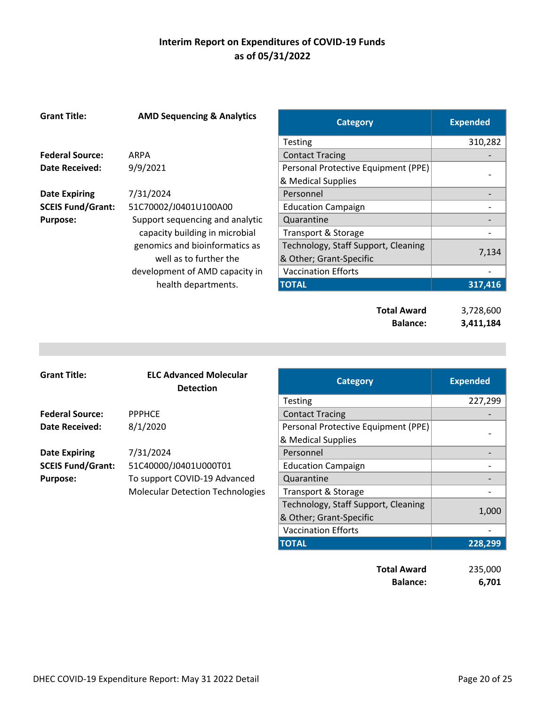| <b>Grant Title:</b>      | <b>AMD Sequencing &amp; Analytics</b> | <b>Category</b>                     | <b>Expended</b> |
|--------------------------|---------------------------------------|-------------------------------------|-----------------|
|                          |                                       | Testing                             | 310,282         |
| <b>Federal Source:</b>   | ARPA                                  | <b>Contact Tracing</b>              |                 |
| <b>Date Received:</b>    | 9/9/2021                              | Personal Protective Equipment (PPE) |                 |
|                          |                                       | & Medical Supplies                  |                 |
| <b>Date Expiring</b>     | 7/31/2024                             | Personnel                           |                 |
| <b>SCEIS Fund/Grant:</b> | 51C70002/J0401U100A00                 | <b>Education Campaign</b>           |                 |
| <b>Purpose:</b>          | Support sequencing and analytic       | Quarantine                          |                 |
|                          | capacity building in microbial        | Transport & Storage                 |                 |
|                          | genomics and bioinformatics as        | Technology, Staff Support, Cleaning |                 |
|                          | well as to further the                | & Other; Grant-Specific             | 7,134           |
|                          | development of AMD capacity in        | <b>Vaccination Efforts</b>          |                 |
|                          | health departments.                   | <b>TOTAL</b>                        | 317,416         |
|                          |                                       |                                     |                 |
|                          |                                       | <b>Total Award</b>                  | 3,728,600       |
|                          |                                       | <b>Balance:</b>                     | 3,411,184       |

| <b>Grant Title:</b>      | <b>ELC Advanced Molecular</b><br><b>Detection</b> | <b>Category</b>                     | <b>Expended</b> |
|--------------------------|---------------------------------------------------|-------------------------------------|-----------------|
|                          |                                                   | <b>Testing</b>                      | 227,299         |
| <b>Federal Source:</b>   | <b>PPPHCE</b>                                     | <b>Contact Tracing</b>              |                 |
| Date Received:           | 8/1/2020                                          | Personal Protective Equipment (PPE) |                 |
|                          |                                                   | & Medical Supplies                  |                 |
| <b>Date Expiring</b>     | 7/31/2024                                         | Personnel                           |                 |
| <b>SCEIS Fund/Grant:</b> | 51C40000/J0401U000T01                             | <b>Education Campaign</b>           |                 |
| <b>Purpose:</b>          | To support COVID-19 Advanced                      | Quarantine                          |                 |
|                          | <b>Molecular Detection Technologies</b>           | Transport & Storage                 |                 |
|                          |                                                   | Technology, Staff Support, Cleaning |                 |
|                          |                                                   | & Other; Grant-Specific             | 1,000           |
|                          |                                                   | <b>Vaccination Efforts</b>          |                 |
|                          |                                                   | <b>TOTAL</b>                        | 228,299         |

| <b>Total Award</b> | 235,000 |
|--------------------|---------|
| <b>Balance:</b>    | 6,701   |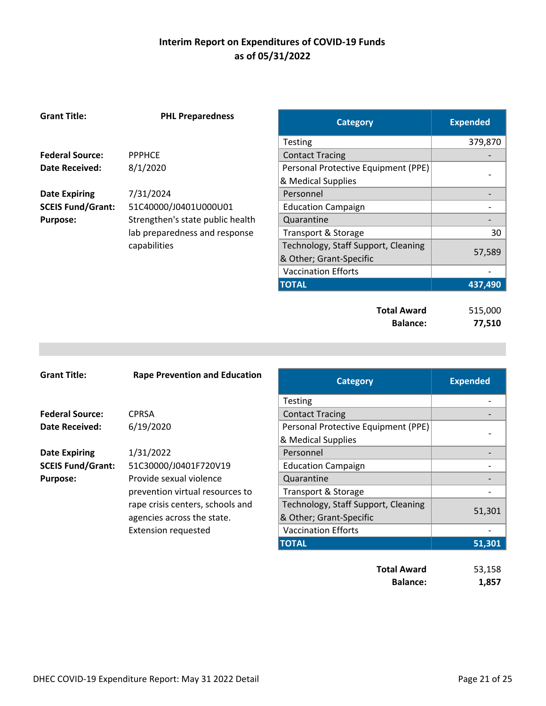| <b>Grant Title:</b>      | <b>PHL Preparedness</b>          | <b>Category</b>                     | <b>Expended</b> |
|--------------------------|----------------------------------|-------------------------------------|-----------------|
|                          |                                  | <b>Testing</b>                      | 379,870         |
| <b>Federal Source:</b>   | <b>PPPHCE</b>                    | <b>Contact Tracing</b>              |                 |
| <b>Date Received:</b>    | 8/1/2020                         | Personal Protective Equipment (PPE) |                 |
|                          |                                  | & Medical Supplies                  |                 |
| <b>Date Expiring</b>     | 7/31/2024                        | Personnel                           |                 |
| <b>SCEIS Fund/Grant:</b> | 51C40000/J0401U000U01            | <b>Education Campaign</b>           |                 |
| <b>Purpose:</b>          | Strengthen's state public health | Quarantine                          |                 |
|                          | lab preparedness and response    | Transport & Storage                 | 30              |
|                          | capabilities                     | Technology, Staff Support, Cleaning |                 |
|                          |                                  | & Other; Grant-Specific             | 57,589          |
|                          |                                  | <b>Vaccination Efforts</b>          |                 |
|                          |                                  | <b>TOTAL</b>                        | 437,490         |
|                          |                                  |                                     |                 |
|                          |                                  | <b>Total Award</b>                  | 515,000         |
|                          |                                  | <b>Balance:</b>                     | 77,510          |

| <b>Grant Title:</b>      | <b>Rape Prevention and Education</b> | <b>Category</b>                     | <b>Expended</b> |
|--------------------------|--------------------------------------|-------------------------------------|-----------------|
|                          |                                      | <b>Testing</b>                      |                 |
| <b>Federal Source:</b>   | <b>CPRSA</b>                         | <b>Contact Tracing</b>              |                 |
| <b>Date Received:</b>    | 6/19/2020                            | Personal Protective Equipment (PPE) |                 |
|                          |                                      | & Medical Supplies                  |                 |
| <b>Date Expiring</b>     | 1/31/2022                            | Personnel                           |                 |
| <b>SCEIS Fund/Grant:</b> | 51C30000/J0401F720V19                | <b>Education Campaign</b>           |                 |
| <b>Purpose:</b>          | Provide sexual violence              | Quarantine                          |                 |
|                          | prevention virtual resources to      | Transport & Storage                 |                 |
|                          | rape crisis centers, schools and     | Technology, Staff Support, Cleaning |                 |
|                          | agencies across the state.           | & Other; Grant-Specific             | 51,301          |
|                          | <b>Extension requested</b>           | <b>Vaccination Efforts</b>          |                 |
|                          |                                      | <b>TOTAL</b>                        | 51,301          |
|                          |                                      | <b>Total Award</b>                  | 53,158          |

**Balance: 1,857**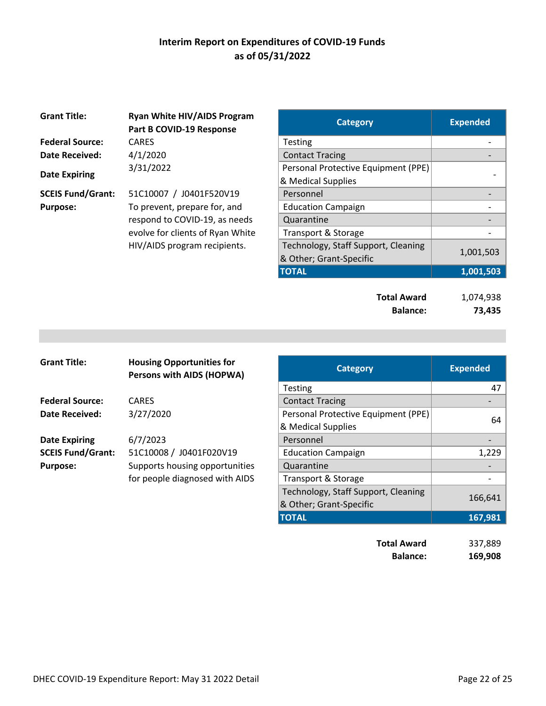| <b>Grant Title:</b>      | <b>Ryan White HIV/AIDS Program</b><br>Part B COVID-19 Response | <b>Category</b>                     | <b>Expended</b> |
|--------------------------|----------------------------------------------------------------|-------------------------------------|-----------------|
| <b>Federal Source:</b>   | <b>CARES</b>                                                   | Testing                             |                 |
| Date Received:           | 4/1/2020                                                       | <b>Contact Tracing</b>              |                 |
|                          | 3/31/2022                                                      | Personal Protective Equipment (PPE) |                 |
| <b>Date Expiring</b>     |                                                                | & Medical Supplies                  |                 |
| <b>SCEIS Fund/Grant:</b> | 51C10007 / J0401F520V19                                        | Personnel                           |                 |
| <b>Purpose:</b>          | To prevent, prepare for, and                                   | <b>Education Campaign</b>           |                 |
|                          | respond to COVID-19, as needs                                  | Quarantine                          |                 |
|                          | evolve for clients of Ryan White                               | Transport & Storage                 |                 |
|                          | HIV/AIDS program recipients.                                   | Technology, Staff Support, Cleaning |                 |
|                          |                                                                | 0 Othor: Cront Cnooific             | 1,001,5         |

| <b>Ryan White HIV/AIDS Program</b><br>Part B COVID-19 Response | <b>Category</b>                     | <b>Expended</b> |
|----------------------------------------------------------------|-------------------------------------|-----------------|
| CARES                                                          | <b>Testing</b>                      |                 |
| 4/1/2020                                                       | <b>Contact Tracing</b>              |                 |
| 3/31/2022                                                      | Personal Protective Equipment (PPE) |                 |
|                                                                | & Medical Supplies                  |                 |
| 51C10007 / J0401F520V19                                        | Personnel                           |                 |
| To prevent, prepare for, and                                   | <b>Education Campaign</b>           |                 |
| respond to COVID-19, as needs                                  | Quarantine                          |                 |
| evolve for clients of Ryan White                               | Transport & Storage                 |                 |
| HIV/AIDS program recipients.                                   | Technology, Staff Support, Cleaning |                 |
|                                                                | & Other; Grant-Specific             | 1,001,503       |
|                                                                | <b>TOTAL</b>                        | 1,001,503       |
|                                                                |                                     |                 |

| <b>Total Award</b> | 1,074,938 |
|--------------------|-----------|
| <b>Balance:</b>    | 73,435    |

| <b>Grant Title:</b>      | <b>Housing Opportunities for</b><br><b>Persons with AIDS (HOPWA)</b> | <b>Category</b>                                |
|--------------------------|----------------------------------------------------------------------|------------------------------------------------|
|                          |                                                                      | <b>Testing</b>                                 |
| <b>Federal Source:</b>   | <b>CARES</b>                                                         | <b>Contact Tracing</b>                         |
| Date Received:           | 3/27/2020                                                            | Personal Protective Equipment (PPE)            |
|                          |                                                                      | & Medical Supplies                             |
| <b>Date Expiring</b>     | 6/7/2023                                                             | Personnel                                      |
| <b>SCEIS Fund/Grant:</b> | 51C10008 / J0401F020V19                                              | <b>Education Campaign</b>                      |
| <b>Purpose:</b>          | Supports housing opportunities                                       | Quarantine                                     |
|                          | for people diagnosed with AIDS                                       | Transport & Storage                            |
|                          |                                                                      | Technology, Staff Support, Cleaning            |
|                          |                                                                      | $0.01$ $0.000$ $0.000$ $0.000$ $0.000$ $0.000$ |

| <b>Grant Title:</b>      | <b>Housing Opportunities for</b><br>Persons with AIDS (HOPWA) | <b>Category</b>                     | <b>Expended</b> |
|--------------------------|---------------------------------------------------------------|-------------------------------------|-----------------|
|                          |                                                               | <b>Testing</b>                      | 47              |
| <b>Federal Source:</b>   | <b>CARES</b>                                                  | <b>Contact Tracing</b>              |                 |
| <b>Date Received:</b>    | 3/27/2020                                                     | Personal Protective Equipment (PPE) |                 |
|                          |                                                               | & Medical Supplies                  | 64              |
| <b>Date Expiring</b>     | 6/7/2023                                                      | Personnel                           |                 |
| <b>SCEIS Fund/Grant:</b> | 51C10008 / J0401F020V19                                       | <b>Education Campaign</b>           | 1,229           |
| <b>Purpose:</b>          | Supports housing opportunities                                | Quarantine                          |                 |
|                          | for people diagnosed with AIDS                                | <b>Transport &amp; Storage</b>      |                 |
|                          |                                                               | Technology, Staff Support, Cleaning |                 |
|                          |                                                               | & Other; Grant-Specific             | 166,641         |
|                          |                                                               | <b>TOTAL</b>                        | 167,981         |
|                          |                                                               |                                     |                 |
|                          |                                                               | <b>Total Award</b>                  | 337,889         |

**Balance: 169,908**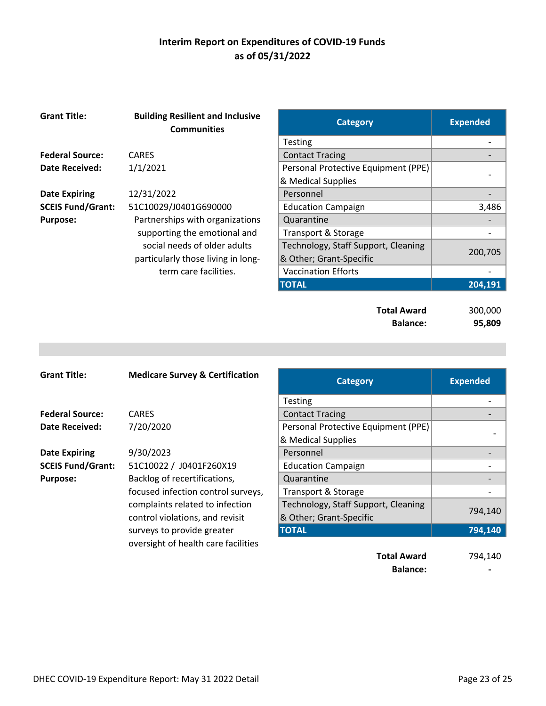| <b>Grant Title:</b>      | <b>Building Resilient and Inclusive</b><br><b>Communities</b> | <b>Category</b>                       | <b>Expended</b>   |
|--------------------------|---------------------------------------------------------------|---------------------------------------|-------------------|
|                          |                                                               | Testing                               |                   |
| <b>Federal Source:</b>   | <b>CARES</b>                                                  | <b>Contact Tracing</b>                |                   |
| Date Received:           | 1/1/2021                                                      | Personal Protective Equipment (PPE)   |                   |
|                          |                                                               | & Medical Supplies                    |                   |
| <b>Date Expiring</b>     | 12/31/2022                                                    | Personnel                             |                   |
| <b>SCEIS Fund/Grant:</b> | 51C10029/J0401G690000                                         | <b>Education Campaign</b>             | 3,486             |
| <b>Purpose:</b>          | Partnerships with organizations                               | Quarantine                            |                   |
|                          | supporting the emotional and                                  | Transport & Storage                   |                   |
|                          | social needs of older adults                                  | Technology, Staff Support, Cleaning   |                   |
|                          | particularly those living in long-                            | & Other; Grant-Specific               | 200,705           |
|                          | term care facilities.                                         | <b>Vaccination Efforts</b>            |                   |
|                          |                                                               | <b>TOTAL</b>                          | 204,191           |
|                          |                                                               | <b>Total Award</b><br><b>Balance:</b> | 300,000<br>95,809 |

| <b>Grant Title:</b>      | <b>Medicare Survey &amp; Certification</b> | <b>Category</b>                     | <b>Expended</b> |
|--------------------------|--------------------------------------------|-------------------------------------|-----------------|
|                          |                                            | <b>Testing</b>                      |                 |
| <b>Federal Source:</b>   | <b>CARES</b>                               | <b>Contact Tracing</b>              |                 |
| <b>Date Received:</b>    | 7/20/2020                                  | Personal Protective Equipment (PPE) |                 |
|                          |                                            | & Medical Supplies                  |                 |
| <b>Date Expiring</b>     | 9/30/2023                                  | Personnel                           |                 |
| <b>SCEIS Fund/Grant:</b> | 51C10022 / J0401F260X19                    | <b>Education Campaign</b>           |                 |
| <b>Purpose:</b>          | Backlog of recertifications,               | Quarantine                          |                 |
|                          | focused infection control surveys,         | Transport & Storage                 |                 |
|                          | complaints related to infection            | Technology, Staff Support, Cleaning |                 |
|                          | control violations, and revisit            | & Other; Grant-Specific             | 794,140         |
|                          | surveys to provide greater                 | <b>TOTAL</b>                        | 794,140         |
|                          | oversight of health care facilities        |                                     |                 |
|                          |                                            | <b>Total Award</b>                  | 794,140         |
|                          |                                            | <b>Balance:</b>                     |                 |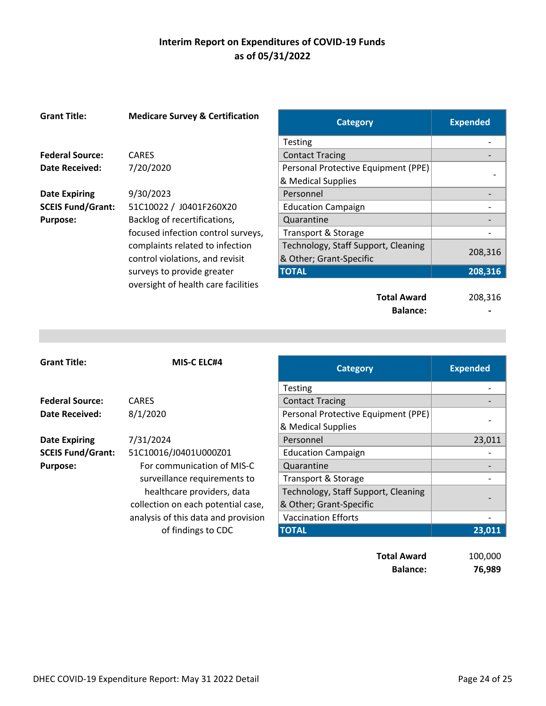| <b>Grant Title:</b>      | <b>Medicare Survey &amp; Certification</b> | <b>Category</b>                     | <b>Expended</b> |
|--------------------------|--------------------------------------------|-------------------------------------|-----------------|
|                          |                                            | <b>Testing</b>                      |                 |
| <b>Federal Source:</b>   | <b>CARES</b>                               | <b>Contact Tracing</b>              |                 |
| <b>Date Received:</b>    | 7/20/2020                                  | Personal Protective Equipment (PPE) |                 |
|                          |                                            | & Medical Supplies                  |                 |
| <b>Date Expiring</b>     | 9/30/2023                                  | Personnel                           |                 |
| <b>SCEIS Fund/Grant:</b> | 51C10022 / J0401F260X20                    | <b>Education Campaign</b>           |                 |
| <b>Purpose:</b>          | Backlog of recertifications,               | Quarantine                          |                 |
|                          | focused infection control surveys,         | Transport & Storage                 |                 |
|                          | complaints related to infection            | Technology, Staff Support, Cleaning |                 |
|                          | control violations, and revisit            | & Other; Grant-Specific             | 208,316         |
|                          | surveys to provide greater                 | <b>TOTAL</b>                        | 208,316         |
|                          | oversight of health care facilities        |                                     |                 |
|                          |                                            | <b>Total Award</b>                  | 208,316         |
|                          |                                            | <b>Balance:</b>                     |                 |

| <b>Grant Title:</b>      | <b>MIS-C ELC#4</b>                  | <b>Category</b>                     | <b>Expended</b> |
|--------------------------|-------------------------------------|-------------------------------------|-----------------|
|                          |                                     | <b>Testing</b>                      |                 |
| <b>Federal Source:</b>   | <b>CARES</b>                        | <b>Contact Tracing</b>              |                 |
| Date Received:           | 8/1/2020                            | Personal Protective Equipment (PPE) |                 |
|                          |                                     | & Medical Supplies                  |                 |
| <b>Date Expiring</b>     | 7/31/2024                           | Personnel                           | 23,011          |
| <b>SCEIS Fund/Grant:</b> | 51C10016/J0401U000Z01               | <b>Education Campaign</b>           |                 |
| <b>Purpose:</b>          | For communication of MIS-C          | Quarantine                          |                 |
|                          | surveillance requirements to        | Transport & Storage                 |                 |
|                          | healthcare providers, data          | Technology, Staff Support, Cleaning |                 |
|                          | collection on each potential case,  | & Other; Grant-Specific             |                 |
|                          | analysis of this data and provision | <b>Vaccination Efforts</b>          |                 |
|                          | of findings to CDC                  | <b>TOTAL</b>                        | 23,011          |

**Total Award** 100,000 **Balance: 76,989**